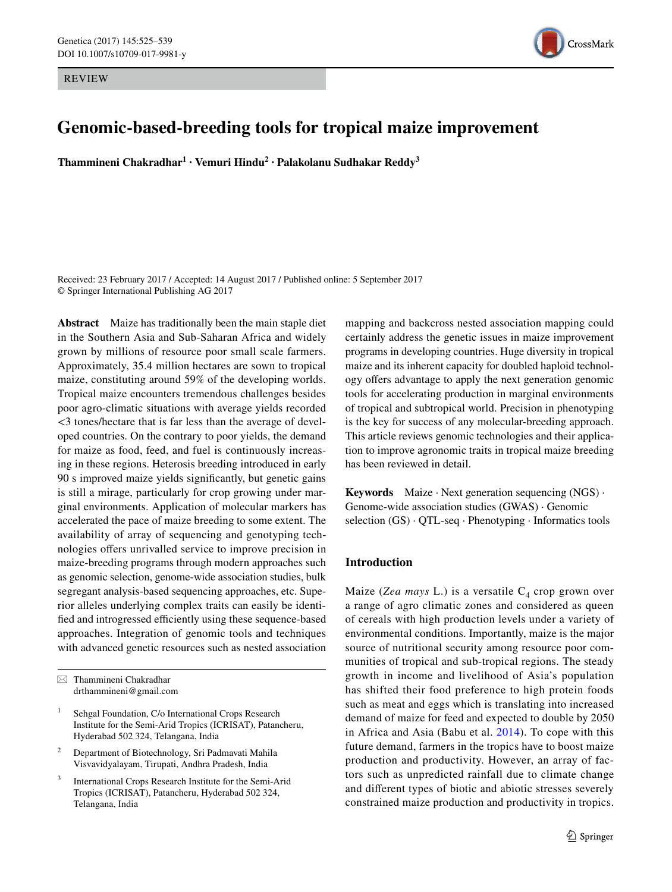REVIEW



# **Genomic-based-breeding tools for tropical maize improvement**

**Thammineni Chakradhar<sup>1</sup> · Vemuri Hindu<sup>2</sup> · Palakolanu Sudhakar Reddy3**

Received: 23 February 2017 / Accepted: 14 August 2017 / Published online: 5 September 2017 © Springer International Publishing AG 2017

**Abstract** Maize has traditionally been the main staple diet in the Southern Asia and Sub-Saharan Africa and widely grown by millions of resource poor small scale farmers. Approximately, 35.4 million hectares are sown to tropical maize, constituting around 59% of the developing worlds. Tropical maize encounters tremendous challenges besides poor agro-climatic situations with average yields recorded <3 tones/hectare that is far less than the average of developed countries. On the contrary to poor yields, the demand for maize as food, feed, and fuel is continuously increasing in these regions. Heterosis breeding introduced in early 90 s improved maize yields significantly, but genetic gains is still a mirage, particularly for crop growing under marginal environments. Application of molecular markers has accelerated the pace of maize breeding to some extent. The availability of array of sequencing and genotyping technologies offers unrivalled service to improve precision in maize-breeding programs through modern approaches such as genomic selection, genome-wide association studies, bulk segregant analysis-based sequencing approaches, etc. Superior alleles underlying complex traits can easily be identified and introgressed efficiently using these sequence-based approaches. Integration of genomic tools and techniques with advanced genetic resources such as nested association

International Crops Research Institute for the Semi-Arid Tropics (ICRISAT), Patancheru, Hyderabad 502 324, Telangana, India

mapping and backcross nested association mapping could certainly address the genetic issues in maize improvement programs in developing countries. Huge diversity in tropical maize and its inherent capacity for doubled haploid technology offers advantage to apply the next generation genomic tools for accelerating production in marginal environments of tropical and subtropical world. Precision in phenotyping is the key for success of any molecular-breeding approach. This article reviews genomic technologies and their application to improve agronomic traits in tropical maize breeding has been reviewed in detail.

**Keywords** Maize · Next generation sequencing (NGS) · Genome-wide association studies (GWAS) · Genomic selection  $(GS) \cdot QTL-seq \cdot Phenotyping \cdot Informatics tools$ 

# **Introduction**

Maize (*Zea mays* L.) is a versatile  $C_4$  crop grown over a range of agro climatic zones and considered as queen of cereals with high production levels under a variety of environmental conditions. Importantly, maize is the major source of nutritional security among resource poor communities of tropical and sub-tropical regions. The steady growth in income and livelihood of Asia's population has shifted their food preference to high protein foods such as meat and eggs which is translating into increased demand of maize for feed and expected to double by 2050 in Africa and Asia (Babu et al. [2014](#page-10-0)). To cope with this future demand, farmers in the tropics have to boost maize production and productivity. However, an array of factors such as unpredicted rainfall due to climate change and different types of biotic and abiotic stresses severely constrained maize production and productivity in tropics.

 $\boxtimes$  Thammineni Chakradhar drthammineni@gmail.com

Sehgal Foundation, C/o International Crops Research Institute for the Semi-Arid Tropics (ICRISAT), Patancheru, Hyderabad 502 324, Telangana, India

<sup>2</sup> Department of Biotechnology, Sri Padmavati Mahila Visvavidyalayam, Tirupati, Andhra Pradesh, India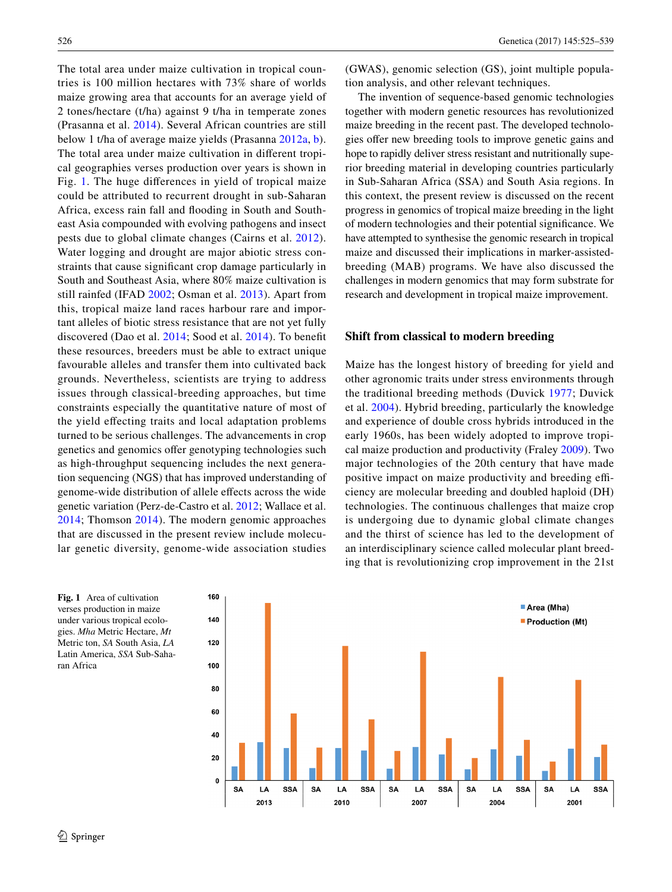The total area under maize cultivation in tropical countries is 100 million hectares with 73% share of worlds maize growing area that accounts for an average yield of 2 tones/hectare (t/ha) against 9 t/ha in temperate zones (Prasanna et al. [2014](#page-12-0)). Several African countries are still below 1 t/ha of average maize yields (Prasanna [2012a,](#page-12-1) [b](#page-12-2)). The total area under maize cultivation in different tropical geographies verses production over years is shown in Fig. [1.](#page-1-0) The huge differences in yield of tropical maize could be attributed to recurrent drought in sub-Saharan Africa, excess rain fall and flooding in South and Southeast Asia compounded with evolving pathogens and insect pests due to global climate changes (Cairns et al. [2012](#page-10-1)). Water logging and drought are major abiotic stress constraints that cause significant crop damage particularly in South and Southeast Asia, where 80% maize cultivation is still rainfed (IFAD [2002](#page-11-0); Osman et al. [2013\)](#page-12-3). Apart from this, tropical maize land races harbour rare and important alleles of biotic stress resistance that are not yet fully discovered (Dao et al. [2014](#page-10-2); Sood et al. [2014](#page-13-0)). To benefit these resources, breeders must be able to extract unique favourable alleles and transfer them into cultivated back grounds. Nevertheless, scientists are trying to address issues through classical-breeding approaches, but time constraints especially the quantitative nature of most of the yield effecting traits and local adaptation problems turned to be serious challenges. The advancements in crop genetics and genomics offer genotyping technologies such as high-throughput sequencing includes the next generation sequencing (NGS) that has improved understanding of genome-wide distribution of allele effects across the wide genetic variation (Perz-de-Castro et al. [2012;](#page-12-4) Wallace et al. [2014;](#page-13-1) Thomson [2014\)](#page-13-2). The modern genomic approaches that are discussed in the present review include molecular genetic diversity, genome-wide association studies

526 Genetica (2017) 145:525–539

(GWAS), genomic selection (GS), joint multiple population analysis, and other relevant techniques.

The invention of sequence-based genomic technologies together with modern genetic resources has revolutionized maize breeding in the recent past. The developed technologies offer new breeding tools to improve genetic gains and hope to rapidly deliver stress resistant and nutritionally superior breeding material in developing countries particularly in Sub-Saharan Africa (SSA) and South Asia regions. In this context, the present review is discussed on the recent progress in genomics of tropical maize breeding in the light of modern technologies and their potential significance. We have attempted to synthesise the genomic research in tropical maize and discussed their implications in marker-assistedbreeding (MAB) programs. We have also discussed the challenges in modern genomics that may form substrate for research and development in tropical maize improvement.

## **Shift from classical to modern breeding**

Maize has the longest history of breeding for yield and other agronomic traits under stress environments through the traditional breeding methods (Duvick [1977](#page-11-1); Duvick et al. [2004](#page-11-2)). Hybrid breeding, particularly the knowledge and experience of double cross hybrids introduced in the early 1960s, has been widely adopted to improve tropical maize production and productivity (Fraley [2009\)](#page-11-3). Two major technologies of the 20th century that have made positive impact on maize productivity and breeding efficiency are molecular breeding and doubled haploid (DH) technologies. The continuous challenges that maize crop is undergoing due to dynamic global climate changes and the thirst of science has led to the development of an interdisciplinary science called molecular plant breeding that is revolutionizing crop improvement in the 21st

<span id="page-1-0"></span>**Fig. 1** Area of cultivation verses production in maize under various tropical ecologies. *Mha* Metric Hectare, *Mt* Metric ton, *SA* South Asia, *LA* Latin America, *SSA* Sub-Saharan Africa

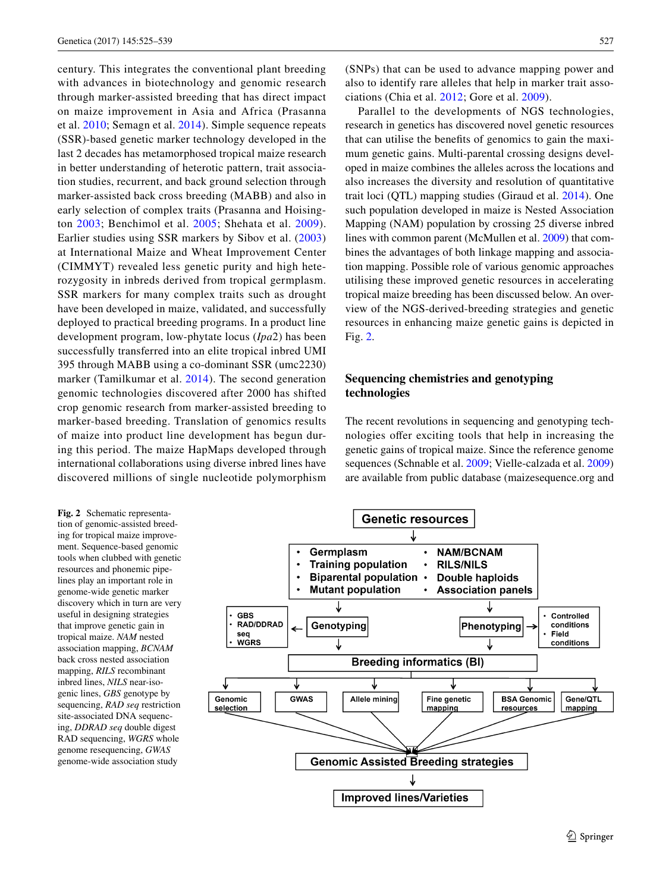century. This integrates the conventional plant breeding with advances in biotechnology and genomic research through marker-assisted breeding that has direct impact on maize improvement in Asia and Africa (Prasanna et al. [2010](#page-12-5); Semagn et al. [2014\)](#page-12-6). Simple sequence repeats (SSR)-based genetic marker technology developed in the last 2 decades has metamorphosed tropical maize research in better understanding of heterotic pattern, trait association studies, recurrent, and back ground selection through marker-assisted back cross breeding (MABB) and also in early selection of complex traits (Prasanna and Hoisington [2003](#page-12-7); Benchimol et al. [2005;](#page-10-3) Shehata et al. [2009](#page-13-3)). Earlier studies using SSR markers by Sibov et al. ([2003\)](#page-13-4) at International Maize and Wheat Improvement Center (CIMMYT) revealed less genetic purity and high heterozygosity in inbreds derived from tropical germplasm. SSR markers for many complex traits such as drought have been developed in maize, validated, and successfully deployed to practical breeding programs. In a product line development program, low-phytate locus (*Ipa*2) has been successfully transferred into an elite tropical inbred UMI 395 through MABB using a co-dominant SSR (umc2230) marker (Tamilkumar et al. [2014](#page-13-5)). The second generation genomic technologies discovered after 2000 has shifted crop genomic research from marker-assisted breeding to marker-based breeding. Translation of genomics results of maize into product line development has begun during this period. The maize HapMaps developed through international collaborations using diverse inbred lines have discovered millions of single nucleotide polymorphism

<span id="page-2-0"></span>**Fig. 2** Schematic representation of genomic-assisted breeding for tropical maize improvement. Sequence-based genomic tools when clubbed with genetic resources and phonemic pipelines play an important role in genome-wide genetic marker discovery which in turn are very useful in designing strategies that improve genetic gain in tropical maize. *NAM* nested association mapping, *BCNAM* back cross nested association mapping, *RILS* recombinant inbred lines, *NILS* near-isogenic lines, *GBS* genotype by sequencing, *RAD seq* restriction site-associated DNA sequencing, *DDRAD seq* double digest RAD sequencing, *WGRS* whole genome resequencing, *GWAS* genome-wide association study

(SNPs) that can be used to advance mapping power and also to identify rare alleles that help in marker trait associations (Chia et al. [2012;](#page-10-4) Gore et al. [2009](#page-11-4)).

Parallel to the developments of NGS technologies, research in genetics has discovered novel genetic resources that can utilise the benefits of genomics to gain the maximum genetic gains. Multi-parental crossing designs developed in maize combines the alleles across the locations and also increases the diversity and resolution of quantitative trait loci (QTL) mapping studies (Giraud et al. [2014\)](#page-11-5). One such population developed in maize is Nested Association Mapping (NAM) population by crossing 25 diverse inbred lines with common parent (McMullen et al. [2009\)](#page-11-6) that combines the advantages of both linkage mapping and association mapping. Possible role of various genomic approaches utilising these improved genetic resources in accelerating tropical maize breeding has been discussed below. An overview of the NGS-derived-breeding strategies and genetic resources in enhancing maize genetic gains is depicted in Fig. [2.](#page-2-0)

# **Sequencing chemistries and genotyping technologies**

The recent revolutions in sequencing and genotyping technologies offer exciting tools that help in increasing the genetic gains of tropical maize. Since the reference genome sequences (Schnable et al. [2009;](#page-12-8) Vielle-calzada et al. [2009\)](#page-13-6) are available from public database (maizesequence.org and

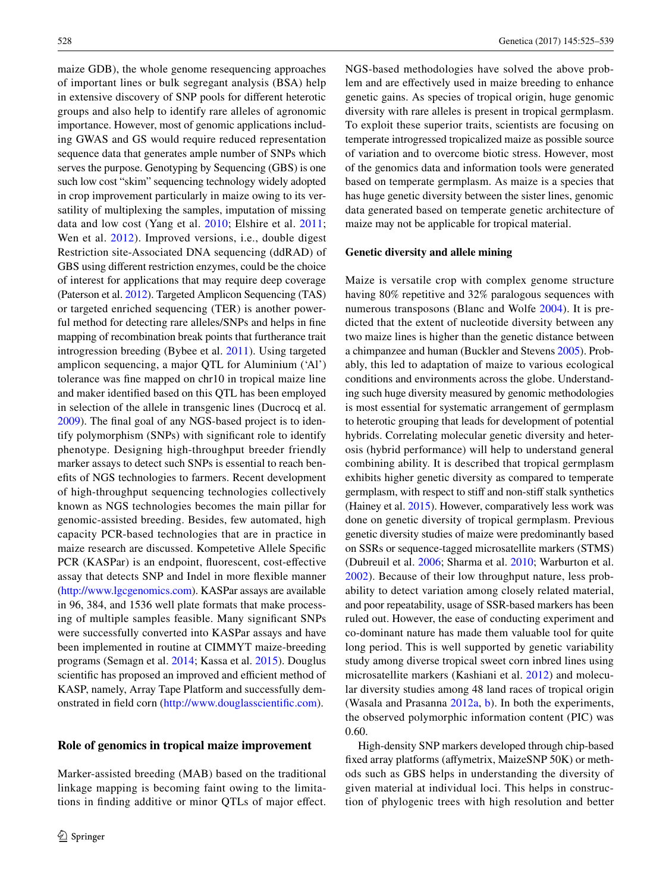maize GDB), the whole genome resequencing approaches of important lines or bulk segregant analysis (BSA) help in extensive discovery of SNP pools for different heterotic groups and also help to identify rare alleles of agronomic importance. However, most of genomic applications including GWAS and GS would require reduced representation sequence data that generates ample number of SNPs which serves the purpose. Genotyping by Sequencing (GBS) is one such low cost "skim" sequencing technology widely adopted in crop improvement particularly in maize owing to its versatility of multiplexing the samples, imputation of missing data and low cost (Yang et al. [2010](#page-14-0); Elshire et al. [2011](#page-11-7); Wen et al. [2012](#page-13-7)). Improved versions, i.e., double digest Restriction site-Associated DNA sequencing (ddRAD) of GBS using different restriction enzymes, could be the choice of interest for applications that may require deep coverage (Paterson et al. [2012\)](#page-12-9). Targeted Amplicon Sequencing (TAS) or targeted enriched sequencing (TER) is another powerful method for detecting rare alleles/SNPs and helps in fine mapping of recombination break points that furtherance trait introgression breeding (Bybee et al. [2011\)](#page-10-5). Using targeted amplicon sequencing, a major QTL for Aluminium ('Al') tolerance was fine mapped on chr10 in tropical maize line and maker identified based on this QTL has been employed in selection of the allele in transgenic lines (Ducrocq et al. [2009](#page-11-8)). The final goal of any NGS-based project is to identify polymorphism (SNPs) with significant role to identify phenotype. Designing high-throughput breeder friendly marker assays to detect such SNPs is essential to reach benefits of NGS technologies to farmers. Recent development of high-throughput sequencing technologies collectively known as NGS technologies becomes the main pillar for genomic-assisted breeding. Besides, few automated, high capacity PCR-based technologies that are in practice in maize research are discussed. Kompetetive Allele Specific PCR (KASPar) is an endpoint, fluorescent, cost-effective assay that detects SNP and Indel in more flexible manner [\(http://www.lgcgenomics.com\)](http://www.lgcgenomics.com). KASPar assays are available in 96, 384, and 1536 well plate formats that make processing of multiple samples feasible. Many significant SNPs were successfully converted into KASPar assays and have been implemented in routine at CIMMYT maize-breeding programs (Semagn et al. [2014](#page-12-6); Kassa et al. [2015\)](#page-11-9). Douglus scientific has proposed an improved and efficient method of KASP, namely, Array Tape Platform and successfully demonstrated in field corn [\(http://www.douglasscientific.com](http://www.douglasscientific.com)).

## **Role of genomics in tropical maize improvement**

Marker-assisted breeding (MAB) based on the traditional linkage mapping is becoming faint owing to the limitations in finding additive or minor QTLs of major effect. NGS-based methodologies have solved the above problem and are effectively used in maize breeding to enhance genetic gains. As species of tropical origin, huge genomic diversity with rare alleles is present in tropical germplasm. To exploit these superior traits, scientists are focusing on temperate introgressed tropicalized maize as possible source of variation and to overcome biotic stress. However, most of the genomics data and information tools were generated based on temperate germplasm. As maize is a species that has huge genetic diversity between the sister lines, genomic data generated based on temperate genetic architecture of maize may not be applicable for tropical material.

## **Genetic diversity and allele mining**

Maize is versatile crop with complex genome structure having 80% repetitive and 32% paralogous sequences with numerous transposons (Blanc and Wolfe [2004](#page-10-6)). It is predicted that the extent of nucleotide diversity between any two maize lines is higher than the genetic distance between a chimpanzee and human (Buckler and Stevens [2005](#page-10-7)). Probably, this led to adaptation of maize to various ecological conditions and environments across the globe. Understanding such huge diversity measured by genomic methodologies is most essential for systematic arrangement of germplasm to heterotic grouping that leads for development of potential hybrids. Correlating molecular genetic diversity and heterosis (hybrid performance) will help to understand general combining ability. It is described that tropical germplasm exhibits higher genetic diversity as compared to temperate germplasm, with respect to stiff and non-stiff stalk synthetics (Hainey et al. [2015\)](#page-11-10). However, comparatively less work was done on genetic diversity of tropical germplasm. Previous genetic diversity studies of maize were predominantly based on SSRs or sequence-tagged microsatellite markers (STMS) (Dubreuil et al. [2006;](#page-11-11) Sharma et al. [2010;](#page-13-8) Warburton et al. [2002\)](#page-13-9). Because of their low throughput nature, less probability to detect variation among closely related material, and poor repeatability, usage of SSR-based markers has been ruled out. However, the ease of conducting experiment and co-dominant nature has made them valuable tool for quite long period. This is well supported by genetic variability study among diverse tropical sweet corn inbred lines using microsatellite markers (Kashiani et al. [2012\)](#page-11-12) and molecular diversity studies among 48 land races of tropical origin (Wasala and Prasanna [2012a](#page-12-1), [b\)](#page-12-2). In both the experiments, the observed polymorphic information content (PIC) was 0.60.

High-density SNP markers developed through chip-based fixed array platforms (affymetrix, MaizeSNP 50K) or methods such as GBS helps in understanding the diversity of given material at individual loci. This helps in construction of phylogenic trees with high resolution and better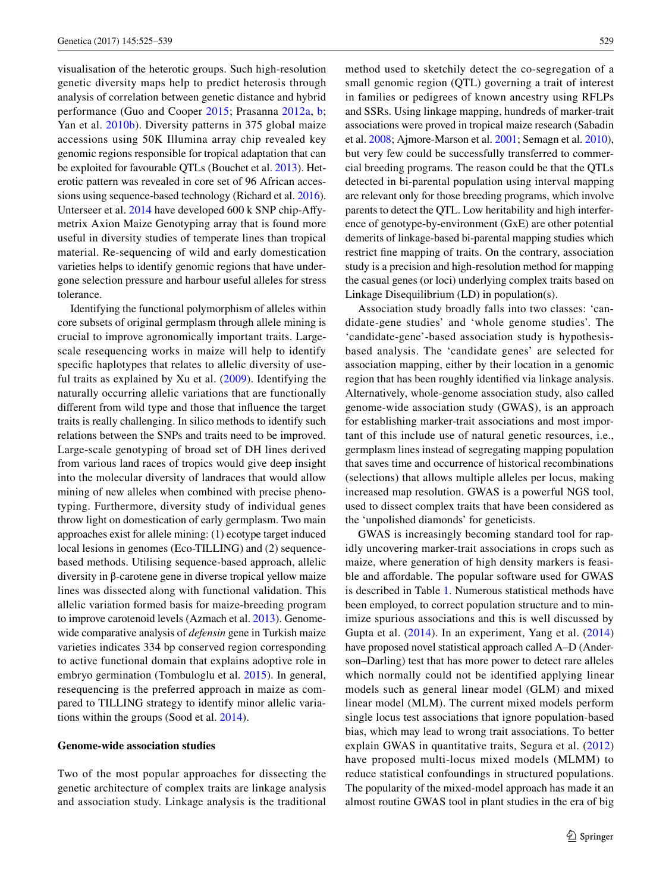visualisation of the heterotic groups. Such high-resolution genetic diversity maps help to predict heterosis through analysis of correlation between genetic distance and hybrid performance (Guo and Cooper [2015](#page-11-13); Prasanna [2012a](#page-12-1), [b](#page-12-2); Yan et al. [2010b\)](#page-14-1). Diversity patterns in 375 global maize accessions using 50K Illumina array chip revealed key genomic regions responsible for tropical adaptation that can be exploited for favourable QTLs (Bouchet et al. [2013\)](#page-10-8). Heterotic pattern was revealed in core set of 96 African accessions using sequence-based technology (Richard et al. [2016](#page-12-10)). Unterseer et al. [2014](#page-13-10) have developed 600 k SNP chip-Affymetrix Axion Maize Genotyping array that is found more useful in diversity studies of temperate lines than tropical material. Re-sequencing of wild and early domestication varieties helps to identify genomic regions that have undergone selection pressure and harbour useful alleles for stress tolerance.

Identifying the functional polymorphism of alleles within core subsets of original germplasm through allele mining is crucial to improve agronomically important traits. Largescale resequencing works in maize will help to identify specific haplotypes that relates to allelic diversity of useful traits as explained by Xu et al. [\(2009\)](#page-13-11). Identifying the naturally occurring allelic variations that are functionally different from wild type and those that influence the target traits is really challenging. In silico methods to identify such relations between the SNPs and traits need to be improved. Large-scale genotyping of broad set of DH lines derived from various land races of tropics would give deep insight into the molecular diversity of landraces that would allow mining of new alleles when combined with precise phenotyping. Furthermore, diversity study of individual genes throw light on domestication of early germplasm. Two main approaches exist for allele mining: (1) ecotype target induced local lesions in genomes (Eco-TILLING) and (2) sequencebased methods. Utilising sequence-based approach, allelic diversity in β-carotene gene in diverse tropical yellow maize lines was dissected along with functional validation. This allelic variation formed basis for maize-breeding program to improve carotenoid levels (Azmach et al. [2013](#page-10-9)). Genomewide comparative analysis of *defensin* gene in Turkish maize varieties indicates 334 bp conserved region corresponding to active functional domain that explains adoptive role in embryo germination (Tombuloglu et al. [2015\)](#page-13-12). In general, resequencing is the preferred approach in maize as compared to TILLING strategy to identify minor allelic variations within the groups (Sood et al. [2014](#page-13-0)).

#### **Genome-wide association studies**

Two of the most popular approaches for dissecting the genetic architecture of complex traits are linkage analysis and association study. Linkage analysis is the traditional method used to sketchily detect the co-segregation of a small genomic region (QTL) governing a trait of interest in families or pedigrees of known ancestry using RFLPs and SSRs. Using linkage mapping, hundreds of marker-trait associations were proved in tropical maize research (Sabadin et al. [2008;](#page-12-11) Ajmore-Marson et al. [2001;](#page-10-10) Semagn et al. [2010](#page-12-12)), but very few could be successfully transferred to commercial breeding programs. The reason could be that the QTLs detected in bi-parental population using interval mapping are relevant only for those breeding programs, which involve parents to detect the QTL. Low heritability and high interference of genotype-by-environment (GxE) are other potential demerits of linkage-based bi-parental mapping studies which restrict fine mapping of traits. On the contrary, association study is a precision and high-resolution method for mapping the casual genes (or loci) underlying complex traits based on Linkage Disequilibrium (LD) in population(s).

Association study broadly falls into two classes: 'candidate-gene studies' and 'whole genome studies'. The 'candidate-gene'-based association study is hypothesisbased analysis. The 'candidate genes' are selected for association mapping, either by their location in a genomic region that has been roughly identified via linkage analysis. Alternatively, whole-genome association study, also called genome-wide association study (GWAS), is an approach for establishing marker-trait associations and most important of this include use of natural genetic resources, i.e., germplasm lines instead of segregating mapping population that saves time and occurrence of historical recombinations (selections) that allows multiple alleles per locus, making increased map resolution. GWAS is a powerful NGS tool, used to dissect complex traits that have been considered as the 'unpolished diamonds' for geneticists.

GWAS is increasingly becoming standard tool for rapidly uncovering marker-trait associations in crops such as maize, where generation of high density markers is feasible and affordable. The popular software used for GWAS is described in Table [1](#page-5-0). Numerous statistical methods have been employed, to correct population structure and to minimize spurious associations and this is well discussed by Gupta et al. ([2014](#page-11-14)). In an experiment, Yang et al. [\(2014](#page-14-2)) have proposed novel statistical approach called A–D (Anderson–Darling) test that has more power to detect rare alleles which normally could not be identified applying linear models such as general linear model (GLM) and mixed linear model (MLM). The current mixed models perform single locus test associations that ignore population-based bias, which may lead to wrong trait associations. To better explain GWAS in quantitative traits, Segura et al. [\(2012](#page-12-13)) have proposed multi-locus mixed models (MLMM) to reduce statistical confoundings in structured populations. The popularity of the mixed-model approach has made it an almost routine GWAS tool in plant studies in the era of big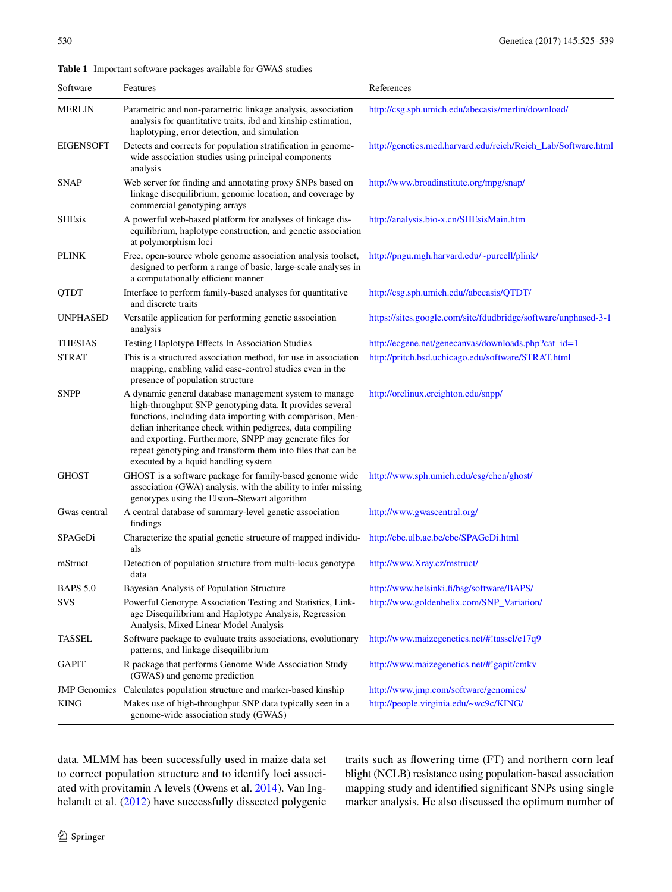## <span id="page-5-0"></span>**Table 1** Important software packages available for GWAS studies

| Software            | Features                                                                                                                                                                                                                                                                                                                                                                                                       | References                                                     |
|---------------------|----------------------------------------------------------------------------------------------------------------------------------------------------------------------------------------------------------------------------------------------------------------------------------------------------------------------------------------------------------------------------------------------------------------|----------------------------------------------------------------|
| <b>MERLIN</b>       | Parametric and non-parametric linkage analysis, association<br>analysis for quantitative traits, ibd and kinship estimation,<br>haplotyping, error detection, and simulation                                                                                                                                                                                                                                   | http://csg.sph.umich.edu/abecasis/merlin/download/             |
| <b>EIGENSOFT</b>    | Detects and corrects for population stratification in genome-<br>wide association studies using principal components<br>analysis                                                                                                                                                                                                                                                                               | http://genetics.med.harvard.edu/reich/Reich_Lab/Software.html  |
| <b>SNAP</b>         | Web server for finding and annotating proxy SNPs based on<br>linkage disequilibrium, genomic location, and coverage by<br>commercial genotyping arrays                                                                                                                                                                                                                                                         | http://www.broadinstitute.org/mpg/snap/                        |
| <b>SHEsis</b>       | A powerful web-based platform for analyses of linkage dis-<br>equilibrium, haplotype construction, and genetic association<br>at polymorphism loci                                                                                                                                                                                                                                                             | http://analysis.bio-x.cn/SHEsisMain.htm                        |
| PLINK               | Free, open-source whole genome association analysis toolset,<br>designed to perform a range of basic, large-scale analyses in<br>a computationally efficient manner                                                                                                                                                                                                                                            | http://pngu.mgh.harvard.edu/~purcell/plink/                    |
| QTDT                | Interface to perform family-based analyses for quantitative<br>and discrete traits                                                                                                                                                                                                                                                                                                                             | http://csg.sph.umich.edu//abecasis/QTDT/                       |
| <b>UNPHASED</b>     | Versatile application for performing genetic association<br>analysis                                                                                                                                                                                                                                                                                                                                           | https://sites.google.com/site/fdudbridge/software/unphased-3-1 |
| <b>THESIAS</b>      | Testing Haplotype Effects In Association Studies                                                                                                                                                                                                                                                                                                                                                               | http://ecgene.net/genecanvas/downloads.php?cat_id=1            |
| <b>STRAT</b>        | This is a structured association method, for use in association<br>mapping, enabling valid case-control studies even in the<br>presence of population structure                                                                                                                                                                                                                                                | http://pritch.bsd.uchicago.edu/software/STRAT.html             |
| <b>SNPP</b>         | A dynamic general database management system to manage<br>high-throughput SNP genotyping data. It provides several<br>functions, including data importing with comparison, Men-<br>delian inheritance check within pedigrees, data compiling<br>and exporting. Furthermore, SNPP may generate files for<br>repeat genotyping and transform them into files that can be<br>executed by a liquid handling system | http://orclinux.creighton.edu/snpp/                            |
| <b>GHOST</b>        | GHOST is a software package for family-based genome wide<br>association (GWA) analysis, with the ability to infer missing<br>genotypes using the Elston-Stewart algorithm                                                                                                                                                                                                                                      | http://www.sph.umich.edu/csg/chen/ghost/                       |
| Gwas central        | A central database of summary-level genetic association<br>findings                                                                                                                                                                                                                                                                                                                                            | http://www.gwascentral.org/                                    |
| SPAGeDi             | Characterize the spatial genetic structure of mapped individu-<br>als                                                                                                                                                                                                                                                                                                                                          | http://ebe.ulb.ac.be/ebe/SPAGeDi.html                          |
| mStruct             | Detection of population structure from multi-locus genotype<br>data                                                                                                                                                                                                                                                                                                                                            | http://www.Xray.cz/mstruct/                                    |
| <b>BAPS 5.0</b>     | Bayesian Analysis of Population Structure                                                                                                                                                                                                                                                                                                                                                                      | http://www.helsinki.fi/bsg/software/BAPS/                      |
| <b>SVS</b>          | Powerful Genotype Association Testing and Statistics, Link-<br>age Disequilibrium and Haplotype Analysis, Regression<br>Analysis, Mixed Linear Model Analysis                                                                                                                                                                                                                                                  | http://www.goldenhelix.com/SNP_Variation/                      |
| <b>TASSEL</b>       | Software package to evaluate traits associations, evolutionary<br>patterns, and linkage disequilibrium                                                                                                                                                                                                                                                                                                         | http://www.maizegenetics.net/#!tassel/c17q9                    |
| <b>GAPIT</b>        | R package that performs Genome Wide Association Study<br>(GWAS) and genome prediction                                                                                                                                                                                                                                                                                                                          | http://www.maizegenetics.net/#!gapit/cmkv                      |
| <b>JMP</b> Genomics | Calculates population structure and marker-based kinship                                                                                                                                                                                                                                                                                                                                                       | http://www.jmp.com/software/genomics/                          |
| <b>KING</b>         | Makes use of high-throughput SNP data typically seen in a<br>genome-wide association study (GWAS)                                                                                                                                                                                                                                                                                                              | http://people.virginia.edu/~wc9c/KING/                         |

data. MLMM has been successfully used in maize data set to correct population structure and to identify loci associated with provitamin A levels (Owens et al. [2014](#page-12-14)). Van Ing-helandt et al. ([2012](#page-13-13)) have successfully dissected polygenic traits such as flowering time (FT) and northern corn leaf blight (NCLB) resistance using population-based association mapping study and identified significant SNPs using single marker analysis. He also discussed the optimum number of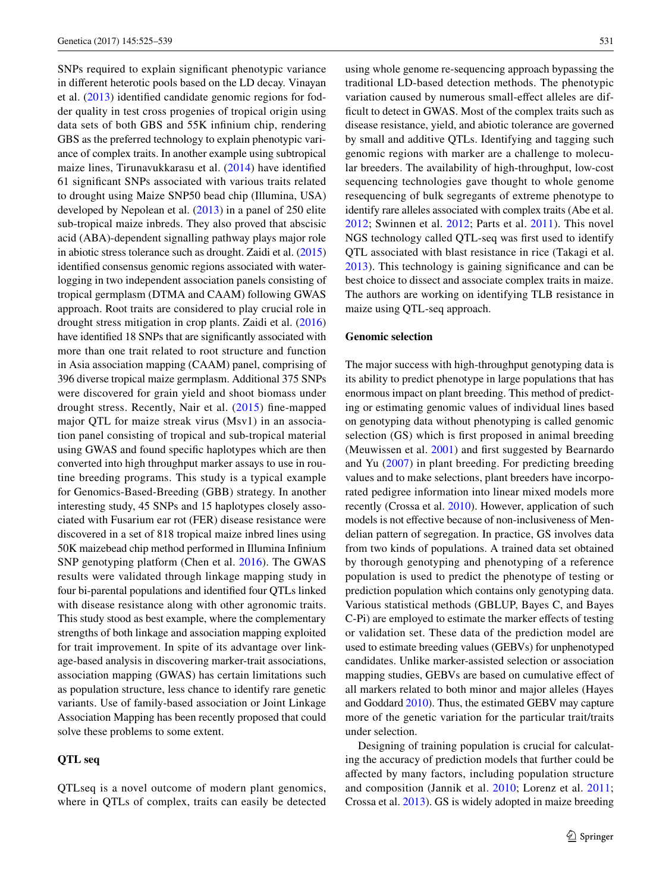SNPs required to explain significant phenotypic variance in different heterotic pools based on the LD decay. Vinayan et al. [\(2013\)](#page-13-14) identified candidate genomic regions for fodder quality in test cross progenies of tropical origin using data sets of both GBS and 55K infinium chip, rendering GBS as the preferred technology to explain phenotypic variance of complex traits. In another example using subtropical maize lines, Tirunavukkarasu et al. ([2014](#page-13-15)) have identified 61 significant SNPs associated with various traits related to drought using Maize SNP50 bead chip (Illumina, USA) developed by Nepolean et al. [\(2013\)](#page-12-15) in a panel of 250 elite sub-tropical maize inbreds. They also proved that abscisic acid (ABA)-dependent signalling pathway plays major role in abiotic stress tolerance such as drought. Zaidi et al. [\(2015\)](#page-14-3) identified consensus genomic regions associated with waterlogging in two independent association panels consisting of tropical germplasm (DTMA and CAAM) following GWAS approach. Root traits are considered to play crucial role in drought stress mitigation in crop plants. Zaidi et al. ([2016\)](#page-14-4) have identified 18 SNPs that are significantly associated with more than one trait related to root structure and function in Asia association mapping (CAAM) panel, comprising of 396 diverse tropical maize germplasm. Additional 375 SNPs were discovered for grain yield and shoot biomass under drought stress. Recently, Nair et al. [\(2015](#page-12-16)) fine-mapped major QTL for maize streak virus (Msv1) in an association panel consisting of tropical and sub-tropical material using GWAS and found specific haplotypes which are then converted into high throughput marker assays to use in routine breeding programs. This study is a typical example for Genomics-Based-Breeding (GBB) strategy. In another interesting study, 45 SNPs and 15 haplotypes closely associated with Fusarium ear rot (FER) disease resistance were discovered in a set of 818 tropical maize inbred lines using 50K maizebead chip method performed in Illumina Infinium SNP genotyping platform (Chen et al. [2016](#page-10-11)). The GWAS results were validated through linkage mapping study in four bi-parental populations and identified four QTLs linked with disease resistance along with other agronomic traits. This study stood as best example, where the complementary strengths of both linkage and association mapping exploited for trait improvement. In spite of its advantage over linkage-based analysis in discovering marker-trait associations, association mapping (GWAS) has certain limitations such as population structure, less chance to identify rare genetic variants. Use of family-based association or Joint Linkage Association Mapping has been recently proposed that could solve these problems to some extent.

## **QTL seq**

QTLseq is a novel outcome of modern plant genomics, where in QTLs of complex, traits can easily be detected using whole genome re-sequencing approach bypassing the traditional LD-based detection methods. The phenotypic variation caused by numerous small-effect alleles are difficult to detect in GWAS. Most of the complex traits such as disease resistance, yield, and abiotic tolerance are governed by small and additive QTLs. Identifying and tagging such genomic regions with marker are a challenge to molecular breeders. The availability of high-throughput, low-cost sequencing technologies gave thought to whole genome resequencing of bulk segregants of extreme phenotype to identify rare alleles associated with complex traits (Abe et al. [2012;](#page-10-12) Swinnen et al. [2012;](#page-13-16) Parts et al. [2011](#page-12-17)). This novel NGS technology called QTL-seq was first used to identify QTL associated with blast resistance in rice (Takagi et al. [2013\)](#page-13-17). This technology is gaining significance and can be best choice to dissect and associate complex traits in maize. The authors are working on identifying TLB resistance in maize using QTL-seq approach.

## **Genomic selection**

The major success with high-throughput genotyping data is its ability to predict phenotype in large populations that has enormous impact on plant breeding. This method of predicting or estimating genomic values of individual lines based on genotyping data without phenotyping is called genomic selection (GS) which is first proposed in animal breeding (Meuwissen et al. [2001\)](#page-12-18) and first suggested by Bearnardo and Yu [\(2007\)](#page-10-13) in plant breeding. For predicting breeding values and to make selections, plant breeders have incorporated pedigree information into linear mixed models more recently (Crossa et al. [2010](#page-10-14)). However, application of such models is not effective because of non-inclusiveness of Mendelian pattern of segregation. In practice, GS involves data from two kinds of populations. A trained data set obtained by thorough genotyping and phenotyping of a reference population is used to predict the phenotype of testing or prediction population which contains only genotyping data. Various statistical methods (GBLUP, Bayes C, and Bayes C-Pi) are employed to estimate the marker effects of testing or validation set. These data of the prediction model are used to estimate breeding values (GEBVs) for unphenotyped candidates. Unlike marker-assisted selection or association mapping studies, GEBVs are based on cumulative effect of all markers related to both minor and major alleles (Hayes and Goddard [2010\)](#page-11-15). Thus, the estimated GEBV may capture more of the genetic variation for the particular trait/traits under selection.

Designing of training population is crucial for calculating the accuracy of prediction models that further could be affected by many factors, including population structure and composition (Jannik et al. [2010;](#page-11-16) Lorenz et al. [2011](#page-11-17); Crossa et al. [2013](#page-10-15)). GS is widely adopted in maize breeding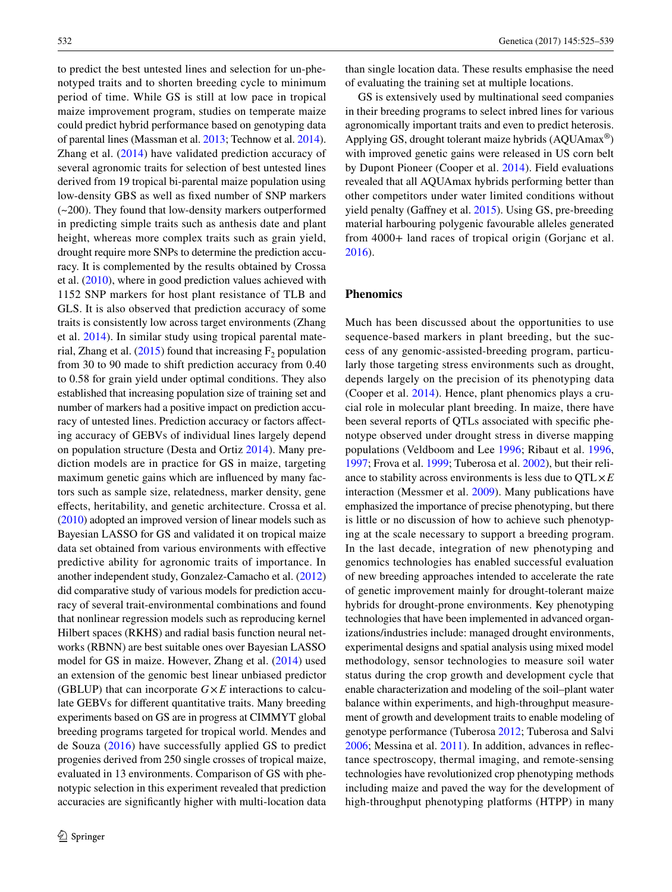to predict the best untested lines and selection for un-phenotyped traits and to shorten breeding cycle to minimum period of time. While GS is still at low pace in tropical maize improvement program, studies on temperate maize could predict hybrid performance based on genotyping data of parental lines (Massman et al. [2013;](#page-11-18) Technow et al. [2014](#page-13-18)). Zhang et al. ([2014\)](#page-14-5) have validated prediction accuracy of several agronomic traits for selection of best untested lines derived from 19 tropical bi-parental maize population using low-density GBS as well as fixed number of SNP markers (~200). They found that low-density markers outperformed in predicting simple traits such as anthesis date and plant height, whereas more complex traits such as grain yield, drought require more SNPs to determine the prediction accuracy. It is complemented by the results obtained by Crossa et al. ([2010\)](#page-10-14), where in good prediction values achieved with 1152 SNP markers for host plant resistance of TLB and GLS. It is also observed that prediction accuracy of some traits is consistently low across target environments (Zhang et al. [2014](#page-14-5)). In similar study using tropical parental mate-rial, Zhang et al. [\(2015](#page-14-6)) found that increasing  $F_2$  population from 30 to 90 made to shift prediction accuracy from 0.40 to 0.58 for grain yield under optimal conditions. They also established that increasing population size of training set and number of markers had a positive impact on prediction accuracy of untested lines. Prediction accuracy or factors affecting accuracy of GEBVs of individual lines largely depend on population structure (Desta and Ortiz [2014](#page-10-16)). Many prediction models are in practice for GS in maize, targeting maximum genetic gains which are influenced by many factors such as sample size, relatedness, marker density, gene effects, heritability, and genetic architecture. Crossa et al. [\(2010](#page-10-14)) adopted an improved version of linear models such as Bayesian LASSO for GS and validated it on tropical maize data set obtained from various environments with effective predictive ability for agronomic traits of importance. In another independent study, Gonzalez-Camacho et al. ([2012\)](#page-11-19) did comparative study of various models for prediction accuracy of several trait-environmental combinations and found that nonlinear regression models such as reproducing kernel Hilbert spaces (RKHS) and radial basis function neural networks (RBNN) are best suitable ones over Bayesian LASSO model for GS in maize. However, Zhang et al. [\(2014\)](#page-14-5) used an extension of the genomic best linear unbiased predictor (GBLUP) that can incorporate  $G \times E$  interactions to calculate GEBVs for different quantitative traits. Many breeding experiments based on GS are in progress at CIMMYT global breeding programs targeted for tropical world. Mendes and de Souza ([2016\)](#page-12-19) have successfully applied GS to predict progenies derived from 250 single crosses of tropical maize, evaluated in 13 environments. Comparison of GS with phenotypic selection in this experiment revealed that prediction accuracies are significantly higher with multi-location data than single location data. These results emphasise the need of evaluating the training set at multiple locations.

GS is extensively used by multinational seed companies in their breeding programs to select inbred lines for various agronomically important traits and even to predict heterosis. Applying GS, drought tolerant maize hybrids (AQUAmax®) with improved genetic gains were released in US corn belt by Dupont Pioneer (Cooper et al. [2014\)](#page-10-17). Field evaluations revealed that all AQUAmax hybrids performing better than other competitors under water limited conditions without yield penalty (Gaffney et al. [2015](#page-11-20)). Using GS, pre-breeding material harbouring polygenic favourable alleles generated from 4000+ land races of tropical origin (Gorjanc et al. [2016](#page-11-21)).

# **Phenomics**

Much has been discussed about the opportunities to use sequence-based markers in plant breeding, but the success of any genomic-assisted-breeding program, particularly those targeting stress environments such as drought, depends largely on the precision of its phenotyping data (Cooper et al. [2014\)](#page-10-17). Hence, plant phenomics plays a crucial role in molecular plant breeding. In maize, there have been several reports of QTLs associated with specific phenotype observed under drought stress in diverse mapping populations (Veldboom and Lee [1996](#page-13-19); Ribaut et al. [1996,](#page-12-20) [1997](#page-12-21); Frova et al. [1999;](#page-11-22) Tuberosa et al. [2002\)](#page-13-20), but their reliance to stability across environments is less due to QTL×*E* interaction (Messmer et al. [2009\)](#page-12-22). Many publications have emphasized the importance of precise phenotyping, but there is little or no discussion of how to achieve such phenotyping at the scale necessary to support a breeding program. In the last decade, integration of new phenotyping and genomics technologies has enabled successful evaluation of new breeding approaches intended to accelerate the rate of genetic improvement mainly for drought-tolerant maize hybrids for drought-prone environments. Key phenotyping technologies that have been implemented in advanced organizations/industries include: managed drought environments, experimental designs and spatial analysis using mixed model methodology, sensor technologies to measure soil water status during the crop growth and development cycle that enable characterization and modeling of the soil–plant water balance within experiments, and high-throughput measurement of growth and development traits to enable modeling of genotype performance (Tuberosa [2012;](#page-13-21) Tuberosa and Salvi [2006](#page-13-22); Messina et al. [2011\)](#page-12-23). In addition, advances in reflectance spectroscopy, thermal imaging, and remote-sensing technologies have revolutionized crop phenotyping methods including maize and paved the way for the development of high-throughput phenotyping platforms (HTPP) in many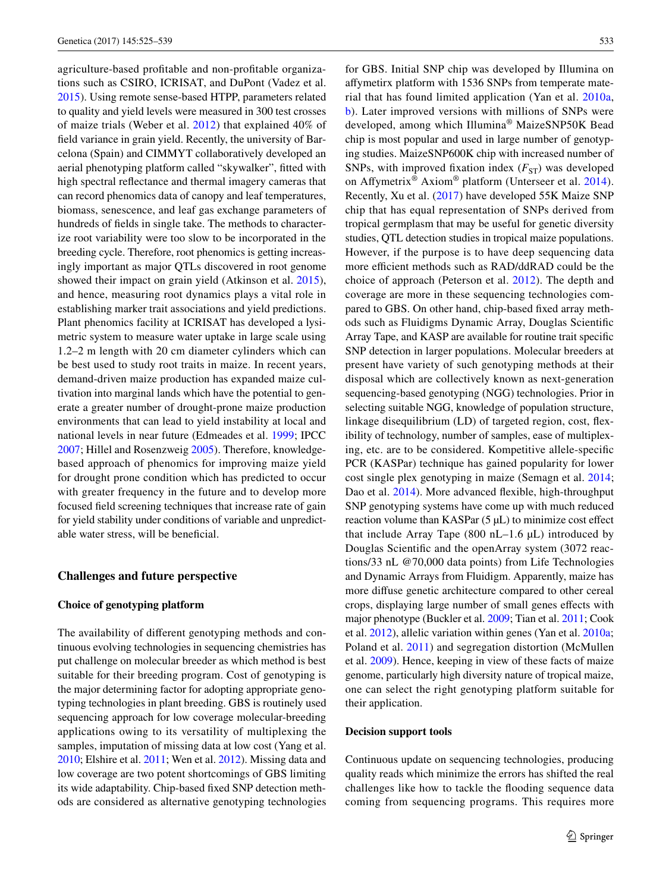agriculture-based profitable and non-profitable organizations such as CSIRO, ICRISAT, and DuPont (Vadez et al. [2015](#page-13-23)). Using remote sense-based HTPP, parameters related to quality and yield levels were measured in 300 test crosses of maize trials (Weber et al. [2012\)](#page-13-24) that explained 40% of field variance in grain yield. Recently, the university of Barcelona (Spain) and CIMMYT collaboratively developed an aerial phenotyping platform called "skywalker", fitted with high spectral reflectance and thermal imagery cameras that can record phenomics data of canopy and leaf temperatures, biomass, senescence, and leaf gas exchange parameters of hundreds of fields in single take. The methods to characterize root variability were too slow to be incorporated in the breeding cycle. Therefore, root phenomics is getting increasingly important as major QTLs discovered in root genome showed their impact on grain yield (Atkinson et al. [2015](#page-10-18)), and hence, measuring root dynamics plays a vital role in establishing marker trait associations and yield predictions. Plant phenomics facility at ICRISAT has developed a lysimetric system to measure water uptake in large scale using 1.2–2 m length with 20 cm diameter cylinders which can be best used to study root traits in maize. In recent years, demand-driven maize production has expanded maize cultivation into marginal lands which have the potential to generate a greater number of drought-prone maize production environments that can lead to yield instability at local and national levels in near future (Edmeades et al. [1999;](#page-11-23) IPCC [2007](#page-11-24); Hillel and Rosenzweig [2005\)](#page-11-25). Therefore, knowledgebased approach of phenomics for improving maize yield for drought prone condition which has predicted to occur with greater frequency in the future and to develop more focused field screening techniques that increase rate of gain for yield stability under conditions of variable and unpredictable water stress, will be beneficial.

## **Challenges and future perspective**

#### **Choice of genotyping platform**

The availability of different genotyping methods and continuous evolving technologies in sequencing chemistries has put challenge on molecular breeder as which method is best suitable for their breeding program. Cost of genotyping is the major determining factor for adopting appropriate genotyping technologies in plant breeding. GBS is routinely used sequencing approach for low coverage molecular-breeding applications owing to its versatility of multiplexing the samples, imputation of missing data at low cost (Yang et al. [2010;](#page-14-0) Elshire et al. [2011](#page-11-7); Wen et al. [2012\)](#page-13-7). Missing data and low coverage are two potent shortcomings of GBS limiting its wide adaptability. Chip-based fixed SNP detection methods are considered as alternative genotyping technologies for GBS. Initial SNP chip was developed by Illumina on affymetirx platform with 1536 SNPs from temperate material that has found limited application (Yan et al. [2010a,](#page-13-25) [b](#page-14-1)). Later improved versions with millions of SNPs were developed, among which Illumina® MaizeSNP50K Bead chip is most popular and used in large number of genotyping studies. MaizeSNP600K chip with increased number of SNPs, with improved fixation index  $(F_{ST})$  was developed on Affymetrix® Axiom® platform (Unterseer et al. [2014](#page-13-10)). Recently, Xu et al. ([2017](#page-13-26)) have developed 55K Maize SNP chip that has equal representation of SNPs derived from tropical germplasm that may be useful for genetic diversity studies, QTL detection studies in tropical maize populations. However, if the purpose is to have deep sequencing data more efficient methods such as RAD/ddRAD could be the choice of approach (Peterson et al. [2012](#page-12-9)). The depth and coverage are more in these sequencing technologies compared to GBS. On other hand, chip-based fixed array methods such as Fluidigms Dynamic Array, Douglas Scientific Array Tape, and KASP are available for routine trait specific SNP detection in larger populations. Molecular breeders at present have variety of such genotyping methods at their disposal which are collectively known as next-generation sequencing-based genotyping (NGG) technologies. Prior in selecting suitable NGG, knowledge of population structure, linkage disequilibrium (LD) of targeted region, cost, flexibility of technology, number of samples, ease of multiplexing, etc. are to be considered. Kompetitive allele-specific PCR (KASPar) technique has gained popularity for lower cost single plex genotyping in maize (Semagn et al. [2014](#page-12-6); Dao et al. [2014\)](#page-10-2). More advanced flexible, high-throughput SNP genotyping systems have come up with much reduced reaction volume than KASPar  $(5 \mu L)$  to minimize cost effect that include Array Tape  $(800 \text{ nL} - 1.6 \mu \text{L})$  introduced by Douglas Scientific and the openArray system (3072 reactions/33 nL @70,000 data points) from Life Technologies and Dynamic Arrays from Fluidigm. Apparently, maize has more diffuse genetic architecture compared to other cereal crops, displaying large number of small genes effects with major phenotype (Buckler et al. [2009](#page-10-19); Tian et al. [2011;](#page-13-27) Cook et al. [2012\)](#page-10-20), allelic variation within genes (Yan et al. [2010a](#page-13-25); Poland et al. [2011](#page-12-24)) and segregation distortion (McMullen et al. [2009](#page-11-6)). Hence, keeping in view of these facts of maize genome, particularly high diversity nature of tropical maize, one can select the right genotyping platform suitable for their application.

#### **Decision support tools**

Continuous update on sequencing technologies, producing quality reads which minimize the errors has shifted the real challenges like how to tackle the flooding sequence data coming from sequencing programs. This requires more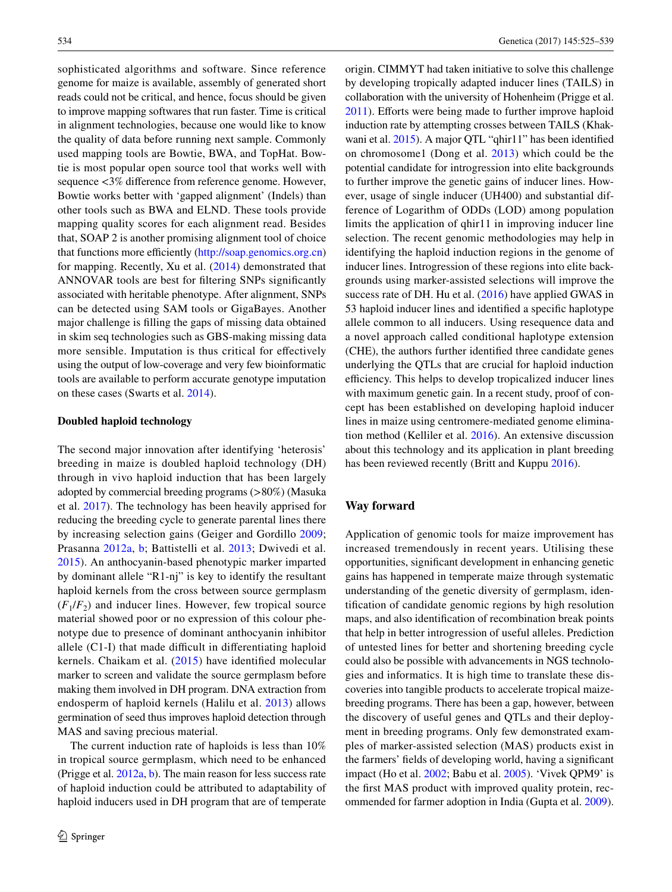sophisticated algorithms and software. Since reference genome for maize is available, assembly of generated short reads could not be critical, and hence, focus should be given to improve mapping softwares that run faster. Time is critical in alignment technologies, because one would like to know the quality of data before running next sample. Commonly used mapping tools are Bowtie, BWA, and TopHat. Bowtie is most popular open source tool that works well with sequence <3% difference from reference genome. However, Bowtie works better with 'gapped alignment' (Indels) than other tools such as BWA and ELND. These tools provide mapping quality scores for each alignment read. Besides that, SOAP 2 is another promising alignment tool of choice that functions more efficiently ([http://soap.genomics.org.cn\)](http://soap.genomics.org.cn) for mapping. Recently, Xu et al. [\(2014\)](#page-13-28) demonstrated that ANNOVAR tools are best for filtering SNPs significantly associated with heritable phenotype. After alignment, SNPs can be detected using SAM tools or GigaBayes. Another major challenge is filling the gaps of missing data obtained in skim seq technologies such as GBS-making missing data more sensible. Imputation is thus critical for effectively using the output of low-coverage and very few bioinformatic tools are available to perform accurate genotype imputation on these cases (Swarts et al. [2014](#page-13-29)).

#### **Doubled haploid technology**

The second major innovation after identifying 'heterosis' breeding in maize is doubled haploid technology (DH) through in vivo haploid induction that has been largely adopted by commercial breeding programs (>80%) (Masuka et al. [2017](#page-11-26)). The technology has been heavily apprised for reducing the breeding cycle to generate parental lines there by increasing selection gains (Geiger and Gordillo [2009](#page-11-27); Prasanna [2012a](#page-12-1), [b](#page-12-2); Battistelli et al. [2013](#page-10-21); Dwivedi et al. [2015](#page-11-28)). An anthocyanin-based phenotypic marker imparted by dominant allele "R1-nj" is key to identify the resultant haploid kernels from the cross between source germplasm  $(F_1/F_2)$  and inducer lines. However, few tropical source material showed poor or no expression of this colour phenotype due to presence of dominant anthocyanin inhibitor allele (C1-I) that made difficult in differentiating haploid kernels. Chaikam et al. [\(2015](#page-10-22)) have identified molecular marker to screen and validate the source germplasm before making them involved in DH program. DNA extraction from endosperm of haploid kernels (Halilu et al. [2013\)](#page-11-29) allows germination of seed thus improves haploid detection through MAS and saving precious material.

The current induction rate of haploids is less than 10% in tropical source germplasm, which need to be enhanced (Prigge et al. [2012a](#page-12-25), [b\)](#page-12-26). The main reason for less success rate of haploid induction could be attributed to adaptability of haploid inducers used in DH program that are of temperate origin. CIMMYT had taken initiative to solve this challenge by developing tropically adapted inducer lines (TAILS) in collaboration with the university of Hohenheim (Prigge et al. [2011](#page-12-27)). Efforts were being made to further improve haploid induction rate by attempting crosses between TAILS (Khakwani et al. [2015\)](#page-11-30). A major QTL "qhir11" has been identified on chromosome1 (Dong et al. [2013\)](#page-11-31) which could be the potential candidate for introgression into elite backgrounds to further improve the genetic gains of inducer lines. However, usage of single inducer (UH400) and substantial difference of Logarithm of ODDs (LOD) among population limits the application of qhir11 in improving inducer line selection. The recent genomic methodologies may help in identifying the haploid induction regions in the genome of inducer lines. Introgression of these regions into elite backgrounds using marker-assisted selections will improve the success rate of DH. Hu et al. ([2016\)](#page-11-32) have applied GWAS in 53 haploid inducer lines and identified a specific haplotype allele common to all inducers. Using resequence data and a novel approach called conditional haplotype extension (CHE), the authors further identified three candidate genes underlying the QTLs that are crucial for haploid induction efficiency. This helps to develop tropicalized inducer lines with maximum genetic gain. In a recent study, proof of concept has been established on developing haploid inducer lines in maize using centromere-mediated genome elimination method (Kelliler et al. [2016\)](#page-11-33). An extensive discussion about this technology and its application in plant breeding has been reviewed recently (Britt and Kuppu [2016\)](#page-10-23).

## **Way forward**

Application of genomic tools for maize improvement has increased tremendously in recent years. Utilising these opportunities, significant development in enhancing genetic gains has happened in temperate maize through systematic understanding of the genetic diversity of germplasm, identification of candidate genomic regions by high resolution maps, and also identification of recombination break points that help in better introgression of useful alleles. Prediction of untested lines for better and shortening breeding cycle could also be possible with advancements in NGS technologies and informatics. It is high time to translate these discoveries into tangible products to accelerate tropical maizebreeding programs. There has been a gap, however, between the discovery of useful genes and QTLs and their deployment in breeding programs. Only few demonstrated examples of marker-assisted selection (MAS) products exist in the farmers' fields of developing world, having a significant impact (Ho et al. [2002](#page-11-34); Babu et al. [2005\)](#page-10-24). 'Vivek QPM9' is the first MAS product with improved quality protein, recommended for farmer adoption in India (Gupta et al. [2009](#page-11-35)).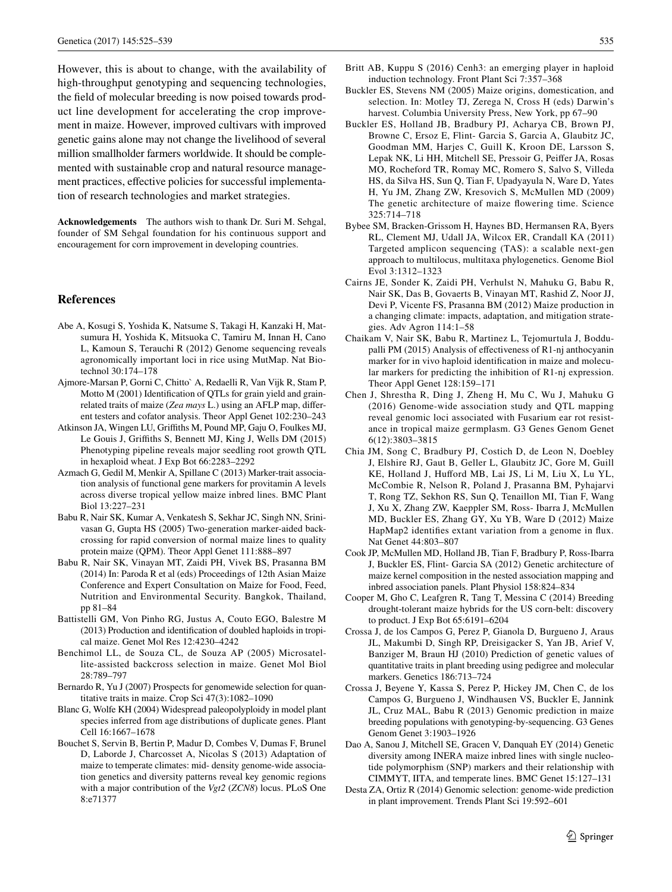However, this is about to change, with the availability of high-throughput genotyping and sequencing technologies, the field of molecular breeding is now poised towards product line development for accelerating the crop improvement in maize. However, improved cultivars with improved genetic gains alone may not change the livelihood of several million smallholder farmers worldwide. It should be complemented with sustainable crop and natural resource management practices, effective policies for successful implementation of research technologies and market strategies.

**Acknowledgements** The authors wish to thank Dr. Suri M. Sehgal, founder of SM Sehgal foundation for his continuous support and encouragement for corn improvement in developing countries.

#### **References**

- <span id="page-10-12"></span>Abe A, Kosugi S, Yoshida K, Natsume S, Takagi H, Kanzaki H, Matsumura H, Yoshida K, Mitsuoka C, Tamiru M, Innan H, Cano L, Kamoun S, Terauchi R (2012) Genome sequencing reveals agronomically important loci in rice using MutMap. Nat Biotechnol 30:174–178
- <span id="page-10-10"></span>Ajmore-Marsan P, Gorni C, Chitto` A, Redaelli R, Van Vijk R, Stam P, Motto M (2001) Identification of QTLs for grain yield and grainrelated traits of maize (*Zea mays* L.) using an AFLP map, different testers and cofator analysis. Theor Appl Genet 102:230–243
- <span id="page-10-18"></span>Atkinson JA, Wingen LU, Griffiths M, Pound MP, Gaju O, Foulkes MJ, Le Gouis J, Griffiths S, Bennett MJ, King J, Wells DM (2015) Phenotyping pipeline reveals major seedling root growth QTL in hexaploid wheat. J Exp Bot 66:2283–2292
- <span id="page-10-9"></span>Azmach G, Gedil M, Menkir A, Spillane C (2013) Marker-trait association analysis of functional gene markers for provitamin A levels across diverse tropical yellow maize inbred lines. BMC Plant Biol 13:227–231
- <span id="page-10-24"></span>Babu R, Nair SK, Kumar A, Venkatesh S, Sekhar JC, Singh NN, Srinivasan G, Gupta HS (2005) Two-generation marker-aided backcrossing for rapid conversion of normal maize lines to quality protein maize (QPM). Theor Appl Genet 111:888–897
- <span id="page-10-0"></span>Babu R, Nair SK, Vinayan MT, Zaidi PH, Vivek BS, Prasanna BM (2014) In: Paroda R et al (eds) Proceedings of 12th Asian Maize Conference and Expert Consultation on Maize for Food, Feed, Nutrition and Environmental Security. Bangkok, Thailand, pp 81–84
- <span id="page-10-21"></span>Battistelli GM, Von Pinho RG, Justus A, Couto EGO, Balestre M (2013) Production and identification of doubled haploids in tropical maize. Genet Mol Res 12:4230–4242
- <span id="page-10-3"></span>Benchimol LL, de Souza CL, de Souza AP (2005) Microsatellite-assisted backcross selection in maize. Genet Mol Biol 28:789–797
- <span id="page-10-13"></span>Bernardo R, Yu J (2007) Prospects for genomewide selection for quantitative traits in maize. Crop Sci 47(3):1082–1090
- <span id="page-10-6"></span>Blanc G, Wolfe KH (2004) Widespread paleopolyploidy in model plant species inferred from age distributions of duplicate genes. Plant Cell 16:1667–1678
- <span id="page-10-8"></span>Bouchet S, Servin B, Bertin P, Madur D, Combes V, Dumas F, Brunel D, Laborde J, Charcosset A, Nicolas S (2013) Adaptation of maize to temperate climates: mid- density genome-wide association genetics and diversity patterns reveal key genomic regions with a major contribution of the *Vgt2* (*ZCN8*) locus. PLoS One 8:e71377
- <span id="page-10-23"></span>Britt AB, Kuppu S (2016) Cenh3: an emerging player in haploid induction technology. Front Plant Sci 7:357–368
- <span id="page-10-7"></span>Buckler ES, Stevens NM (2005) Maize origins, domestication, and selection. In: Motley TJ, Zerega N, Cross H (eds) Darwin's harvest. Columbia University Press, New York, pp 67–90
- <span id="page-10-19"></span>Buckler ES, Holland JB, Bradbury PJ, Acharya CB, Brown PJ, Browne C, Ersoz E, Flint- Garcia S, Garcia A, Glaubitz JC, Goodman MM, Harjes C, Guill K, Kroon DE, Larsson S, Lepak NK, Li HH, Mitchell SE, Pressoir G, Peiffer JA, Rosas MO, Rocheford TR, Romay MC, Romero S, Salvo S, Villeda HS, da Silva HS, Sun Q, Tian F, Upadyayula N, Ware D, Yates H, Yu JM, Zhang ZW, Kresovich S, McMullen MD (2009) The genetic architecture of maize flowering time. Science 325:714–718
- <span id="page-10-5"></span>Bybee SM, Bracken-Grissom H, Haynes BD, Hermansen RA, Byers RL, Clement MJ, Udall JA, Wilcox ER, Crandall KA (2011) Targeted amplicon sequencing (TAS): a scalable next-gen approach to multilocus, multitaxa phylogenetics. Genome Biol Evol 3:1312–1323
- <span id="page-10-1"></span>Cairns JE, Sonder K, Zaidi PH, Verhulst N, Mahuku G, Babu R, Nair SK, Das B, Govaerts B, Vinayan MT, Rashid Z, Noor JJ, Devi P, Vicente FS, Prasanna BM (2012) Maize production in a changing climate: impacts, adaptation, and mitigation strategies. Adv Agron 114:1–58
- <span id="page-10-22"></span>Chaikam V, Nair SK, Babu R, Martinez L, Tejomurtula J, Boddupalli PM (2015) Analysis of effectiveness of R1-nj anthocyanin marker for in vivo haploid identification in maize and molecular markers for predicting the inhibition of R1-nj expression. Theor Appl Genet 128:159–171
- <span id="page-10-11"></span>Chen J, Shrestha R, Ding J, Zheng H, Mu C, Wu J, Mahuku G (2016) Genome-wide association study and QTL mapping reveal genomic loci associated with Fusarium ear rot resistance in tropical maize germplasm. G3 Genes Genom Genet 6(12):3803–3815
- <span id="page-10-4"></span>Chia JM, Song C, Bradbury PJ, Costich D, de Leon N, Doebley J, Elshire RJ, Gaut B, Geller L, Glaubitz JC, Gore M, Guill KE, Holland J, Hufford MB, Lai JS, Li M, Liu X, Lu YL, McCombie R, Nelson R, Poland J, Prasanna BM, Pyhajarvi T, Rong TZ, Sekhon RS, Sun Q, Tenaillon MI, Tian F, Wang J, Xu X, Zhang ZW, Kaeppler SM, Ross- Ibarra J, McMullen MD, Buckler ES, Zhang GY, Xu YB, Ware D (2012) Maize HapMap2 identifies extant variation from a genome in flux. Nat Genet 44:803–807
- <span id="page-10-20"></span>Cook JP, McMullen MD, Holland JB, Tian F, Bradbury P, Ross-Ibarra J, Buckler ES, Flint- Garcia SA (2012) Genetic architecture of maize kernel composition in the nested association mapping and inbred association panels. Plant Physiol 158:824–834
- <span id="page-10-17"></span>Cooper M, Gho C, Leafgren R, Tang T, Messina C (2014) Breeding drought-tolerant maize hybrids for the US corn-belt: discovery to product. J Exp Bot 65:6191–6204
- <span id="page-10-14"></span>Crossa J, de los Campos G, Perez P, Gianola D, Burgueno J, Araus JL, Makumbi D, Singh RP, Dreisigacker S, Yan JB, Arief V, Banziger M, Braun HJ (2010) Prediction of genetic values of quantitative traits in plant breeding using pedigree and molecular markers. Genetics 186:713–724
- <span id="page-10-15"></span>Crossa J, Beyene Y, Kassa S, Perez P, Hickey JM, Chen C, de los Campos G, Burgueno J, Windhausen VS, Buckler E, Jannink JL, Cruz MAL, Babu R (2013) Genomic prediction in maize breeding populations with genotyping-by-sequencing. G3 Genes Genom Genet 3:1903–1926
- <span id="page-10-2"></span>Dao A, Sanou J, Mitchell SE, Gracen V, Danquah EY (2014) Genetic diversity among INERA maize inbred lines with single nucleotide polymorphism (SNP) markers and their relationship with CIMMYT, IITA, and temperate lines. BMC Genet 15:127–131
- <span id="page-10-16"></span>Desta ZA, Ortiz R (2014) Genomic selection: genome-wide prediction in plant improvement. Trends Plant Sci 19:592–601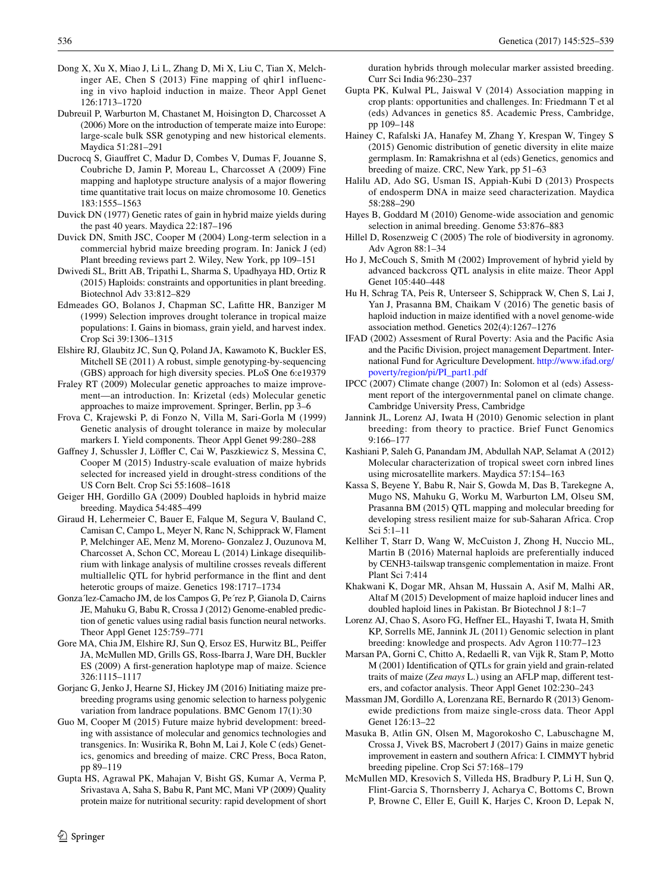- <span id="page-11-31"></span>Dong X, Xu X, Miao J, Li L, Zhang D, Mi X, Liu C, Tian X, Melchinger AE, Chen S (2013) Fine mapping of qhir1 influencing in vivo haploid induction in maize. Theor Appl Genet 126:1713–1720
- <span id="page-11-11"></span>Dubreuil P, Warburton M, Chastanet M, Hoisington D, Charcosset A (2006) More on the introduction of temperate maize into Europe: large-scale bulk SSR genotyping and new historical elements. Maydica 51:281–291
- <span id="page-11-8"></span>Ducrocq S, Giauffret C, Madur D, Combes V, Dumas F, Jouanne S, Coubriche D, Jamin P, Moreau L, Charcosset A (2009) Fine mapping and haplotype structure analysis of a major flowering time quantitative trait locus on maize chromosome 10. Genetics 183:1555–1563
- <span id="page-11-1"></span>Duvick DN (1977) Genetic rates of gain in hybrid maize yields during the past 40 years. Maydica 22:187–196
- <span id="page-11-2"></span>Duvick DN, Smith JSC, Cooper M (2004) Long-term selection in a commercial hybrid maize breeding program. In: Janick J (ed) Plant breeding reviews part 2. Wiley, New York, pp 109–151
- <span id="page-11-28"></span>Dwivedi SL, Britt AB, Tripathi L, Sharma S, Upadhyaya HD, Ortiz R (2015) Haploids: constraints and opportunities in plant breeding. Biotechnol Adv 33:812–829
- <span id="page-11-23"></span>Edmeades GO, Bolanos J, Chapman SC, Lafitte HR, Banziger M (1999) Selection improves drought tolerance in tropical maize populations: I. Gains in biomass, grain yield, and harvest index. Crop Sci 39:1306–1315
- <span id="page-11-7"></span>Elshire RJ, Glaubitz JC, Sun Q, Poland JA, Kawamoto K, Buckler ES, Mitchell SE (2011) A robust, simple genotyping-by-sequencing (GBS) approach for high diversity species. PLoS One 6:e19379
- <span id="page-11-3"></span>Fraley RT (2009) Molecular genetic approaches to maize improvement—an introduction. In: Krizetal (eds) Molecular genetic approaches to maize improvement. Springer, Berlin, pp 3–6
- <span id="page-11-22"></span>Frova C, Krajewski P, di Fonzo N, Villa M, Sari-Gorla M (1999) Genetic analysis of drought tolerance in maize by molecular markers I. Yield components. Theor Appl Genet 99:280–288
- <span id="page-11-20"></span>Gaffney J, Schussler J, Löffler C, Cai W, Paszkiewicz S, Messina C, Cooper M (2015) Industry-scale evaluation of maize hybrids selected for increased yield in drought-stress conditions of the US Corn Belt. Crop Sci 55:1608–1618
- <span id="page-11-27"></span>Geiger HH, Gordillo GA (2009) Doubled haploids in hybrid maize breeding. Maydica 54:485–499
- <span id="page-11-5"></span>Giraud H, Lehermeier C, Bauer E, Falque M, Segura V, Bauland C, Camisan C, Campo L, Meyer N, Ranc N, Schipprack W, Flament P, Melchinger AE, Menz M, Moreno- Gonzalez J, Ouzunova M, Charcosset A, Schon CC, Moreau L (2014) Linkage disequilibrium with linkage analysis of multiline crosses reveals different multiallelic QTL for hybrid performance in the flint and dent heterotic groups of maize. Genetics 198:1717–1734
- <span id="page-11-19"></span>Gonza´lez-Camacho JM, de los Campos G, Pe´rez P, Gianola D, Cairns JE, Mahuku G, Babu R, Crossa J (2012) Genome-enabled prediction of genetic values using radial basis function neural networks. Theor Appl Genet 125:759–771
- <span id="page-11-4"></span>Gore MA, Chia JM, Elshire RJ, Sun Q, Ersoz ES, Hurwitz BL, Peiffer JA, McMullen MD, Grills GS, Ross-Ibarra J, Ware DH, Buckler ES (2009) A first-generation haplotype map of maize. Science 326:1115–1117
- <span id="page-11-21"></span>Gorjanc G, Jenko J, Hearne SJ, Hickey JM (2016) Initiating maize prebreeding programs using genomic selection to harness polygenic variation from landrace populations. BMC Genom 17(1):30
- <span id="page-11-13"></span>Guo M, Cooper M (2015) Future maize hybrid development: breeding with assistance of molecular and genomics technologies and transgenics. In: Wusirika R, Bohn M, Lai J, Kole C (eds) Genetics, genomics and breeding of maize. CRC Press, Boca Raton, pp 89–119
- <span id="page-11-35"></span>Gupta HS, Agrawal PK, Mahajan V, Bisht GS, Kumar A, Verma P, Srivastava A, Saha S, Babu R, Pant MC, Mani VP (2009) Quality protein maize for nutritional security: rapid development of short

duration hybrids through molecular marker assisted breeding. Curr Sci India 96:230–237

- <span id="page-11-14"></span>Gupta PK, Kulwal PL, Jaiswal V (2014) Association mapping in crop plants: opportunities and challenges. In: Friedmann T et al (eds) Advances in genetics 85. Academic Press, Cambridge, pp 109–148
- <span id="page-11-10"></span>Hainey C, Rafalski JA, Hanafey M, Zhang Y, Krespan W, Tingey S (2015) Genomic distribution of genetic diversity in elite maize germplasm. In: Ramakrishna et al (eds) Genetics, genomics and breeding of maize. CRC, New Yark, pp 51–63
- <span id="page-11-29"></span>Halilu AD, Ado SG, Usman IS, Appiah-Kubi D (2013) Prospects of endosperm DNA in maize seed characterization. Maydica 58:288–290
- <span id="page-11-15"></span>Hayes B, Goddard M (2010) Genome-wide association and genomic selection in animal breeding. Genome 53:876–883
- <span id="page-11-25"></span>Hillel D, Rosenzweig C (2005) The role of biodiversity in agronomy. Adv Agron 88:1–34
- <span id="page-11-34"></span>Ho J, McCouch S, Smith M (2002) Improvement of hybrid yield by advanced backcross QTL analysis in elite maize. Theor Appl Genet 105:440–448
- <span id="page-11-32"></span>Hu H, Schrag TA, Peis R, Unterseer S, Schipprack W, Chen S, Lai J, Yan J, Prasanna BM, Chaikam V (2016) The genetic basis of haploid induction in maize identified with a novel genome-wide association method. Genetics 202(4):1267–1276
- <span id="page-11-0"></span>IFAD (2002) Assesment of Rural Poverty: Asia and the Pacific Asia and the Pacific Division, project management Department. International Fund for Agriculture Development. [http://www.ifad.org/](http://www.ifad.org/poverty/region/pi/PI_part1.pdf) [poverty/region/pi/PI\\_part1.pdf](http://www.ifad.org/poverty/region/pi/PI_part1.pdf)
- <span id="page-11-24"></span>IPCC (2007) Climate change (2007) In: Solomon et al (eds) Assessment report of the intergovernmental panel on climate change. Cambridge University Press, Cambridge
- <span id="page-11-16"></span>Jannink JL, Lorenz AJ, Iwata H (2010) Genomic selection in plant breeding: from theory to practice. Brief Funct Genomics 9:166–177
- <span id="page-11-12"></span>Kashiani P, Saleh G, Panandam JM, Abdullah NAP, Selamat A (2012) Molecular characterization of tropical sweet corn inbred lines using microsatellite markers. Maydica 57:154–163
- <span id="page-11-9"></span>Kassa S, Beyene Y, Babu R, Nair S, Gowda M, Das B, Tarekegne A, Mugo NS, Mahuku G, Worku M, Warburton LM, Olseu SM, Prasanna BM (2015) QTL mapping and molecular breeding for developing stress resilient maize for sub-Saharan Africa. Crop Sci 5:1–11
- <span id="page-11-33"></span>Kelliher T, Starr D, Wang W, McCuiston J, Zhong H, Nuccio ML, Martin B (2016) Maternal haploids are preferentially induced by CENH3-tailswap transgenic complementation in maize. Front Plant Sci 7:414
- <span id="page-11-30"></span>Khakwani K, Dogar MR, Ahsan M, Hussain A, Asif M, Malhi AR, Altaf M (2015) Development of maize haploid inducer lines and doubled haploid lines in Pakistan. Br Biotechnol J 8:1–7
- <span id="page-11-17"></span>Lorenz AJ, Chao S, Asoro FG, Heffner EL, Hayashi T, Iwata H, Smith KP, Sorrells ME, Jannink JL (2011) Genomic selection in plant breeding: knowledge and prospects. Adv Agron 110:77–123
- Marsan PA, Gorni C, Chitto A, Redaelli R, van Vijk R, Stam P, Motto M (2001) Identification of QTLs for grain yield and grain-related traits of maize (*Zea mays* L.) using an AFLP map, different testers, and cofactor analysis. Theor Appl Genet 102:230–243
- <span id="page-11-18"></span>Massman JM, Gordillo A, Lorenzana RE, Bernardo R (2013) Genomewide predictions from maize single-cross data. Theor Appl Genet 126:13–22
- <span id="page-11-26"></span>Masuka B, Atlin GN, Olsen M, Magorokosho C, Labuschagne M, Crossa J, Vivek BS, Macrobert J (2017) Gains in maize genetic improvement in eastern and southern Africa: I. CIMMYT hybrid breeding pipeline. Crop Sci 57:168–179
- <span id="page-11-6"></span>McMullen MD, Kresovich S, Villeda HS, Bradbury P, Li H, Sun Q, Flint-Garcia S, Thornsberry J, Acharya C, Bottoms C, Brown P, Browne C, Eller E, Guill K, Harjes C, Kroon D, Lepak N,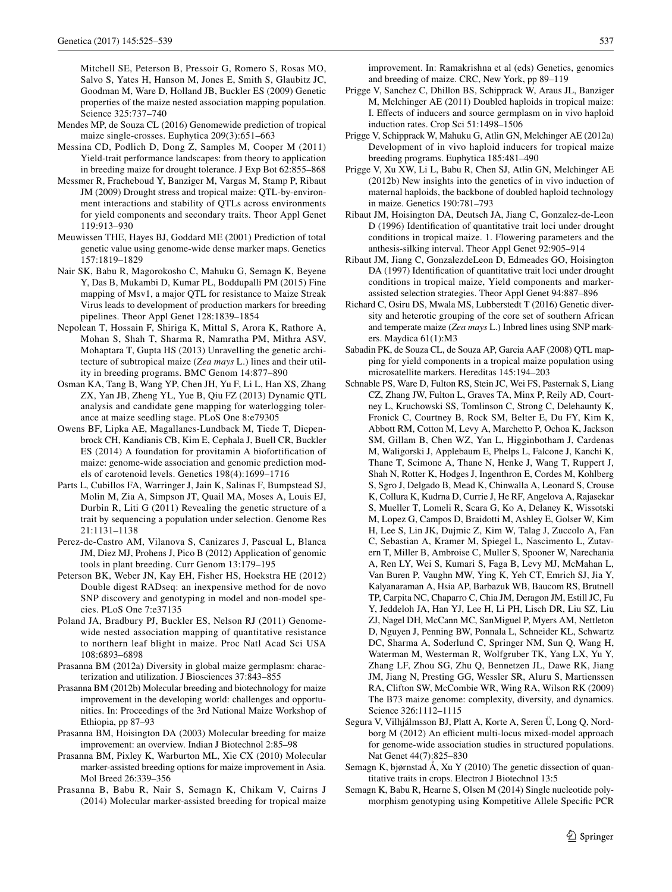Mitchell SE, Peterson B, Pressoir G, Romero S, Rosas MO, Salvo S, Yates H, Hanson M, Jones E, Smith S, Glaubitz JC, Goodman M, Ware D, Holland JB, Buckler ES (2009) Genetic properties of the maize nested association mapping population. Science 325:737–740

- <span id="page-12-19"></span>Mendes MP, de Souza CL (2016) Genomewide prediction of tropical maize single-crosses. Euphytica 209(3):651–663
- <span id="page-12-23"></span>Messina CD, Podlich D, Dong Z, Samples M, Cooper M (2011) Yield-trait performance landscapes: from theory to application in breeding maize for drought tolerance. J Exp Bot 62:855–868
- <span id="page-12-22"></span>Messmer R, Fracheboud Y, Banziger M, Vargas M, Stamp P, Ribaut JM (2009) Drought stress and tropical maize: QTL-by-environment interactions and stability of QTLs across environments for yield components and secondary traits. Theor Appl Genet 119:913–930
- <span id="page-12-18"></span>Meuwissen THE, Hayes BJ, Goddard ME (2001) Prediction of total genetic value using genome-wide dense marker maps. Genetics 157:1819–1829
- <span id="page-12-16"></span>Nair SK, Babu R, Magorokosho C, Mahuku G, Semagn K, Beyene Y, Das B, Mukambi D, Kumar PL, Boddupalli PM (2015) Fine mapping of Msv1, a major QTL for resistance to Maize Streak Virus leads to development of production markers for breeding pipelines. Theor Appl Genet 128:1839–1854
- <span id="page-12-15"></span>Nepolean T, Hossain F, Shiriga K, Mittal S, Arora K, Rathore A, Mohan S, Shah T, Sharma R, Namratha PM, Mithra ASV, Mohaptara T, Gupta HS (2013) Unravelling the genetic architecture of subtropical maize (*Zea mays* L.) lines and their utility in breeding programs. BMC Genom 14:877–890
- <span id="page-12-3"></span>Osman KA, Tang B, Wang YP, Chen JH, Yu F, Li L, Han XS, Zhang ZX, Yan JB, Zheng YL, Yue B, Qiu FZ (2013) Dynamic QTL analysis and candidate gene mapping for waterlogging tolerance at maize seedling stage. PLoS One 8:e79305
- <span id="page-12-14"></span>Owens BF, Lipka AE, Magallanes-Lundback M, Tiede T, Diepenbrock CH, Kandianis CB, Kim E, Cephala J, Buell CR, Buckler ES (2014) A foundation for provitamin A biofortification of maize: genome-wide association and genomic prediction models of carotenoid levels. Genetics 198(4):1699–1716
- <span id="page-12-17"></span>Parts L, Cubillos FA, Warringer J, Jain K, Salinas F, Bumpstead SJ, Molin M, Zia A, Simpson JT, Quail MA, Moses A, Louis EJ, Durbin R, Liti G (2011) Revealing the genetic structure of a trait by sequencing a population under selection. Genome Res 21:1131–1138
- <span id="page-12-4"></span>Perez-de-Castro AM, Vilanova S, Canizares J, Pascual L, Blanca JM, Diez MJ, Prohens J, Pico B (2012) Application of genomic tools in plant breeding. Curr Genom 13:179–195
- <span id="page-12-9"></span>Peterson BK, Weber JN, Kay EH, Fisher HS, Hoekstra HE (2012) Double digest RADseq: an inexpensive method for de novo SNP discovery and genotyping in model and non-model species. PLoS One 7:e37135
- <span id="page-12-24"></span>Poland JA, Bradbury PJ, Buckler ES, Nelson RJ (2011) Genomewide nested association mapping of quantitative resistance to northern leaf blight in maize. Proc Natl Acad Sci USA 108:6893–6898
- <span id="page-12-1"></span>Prasanna BM (2012a) Diversity in global maize germplasm: characterization and utilization. J Biosciences 37:843–855
- <span id="page-12-2"></span>Prasanna BM (2012b) Molecular breeding and biotechnology for maize improvement in the developing world: challenges and opportunities. In: Proceedings of the 3rd National Maize Workshop of Ethiopia, pp 87–93
- <span id="page-12-7"></span>Prasanna BM, Hoisington DA (2003) Molecular breeding for maize improvement: an overview. Indian J Biotechnol 2:85–98
- <span id="page-12-5"></span>Prasanna BM, Pixley K, Warburton ML, Xie CX (2010) Molecular marker-assisted breeding options for maize improvement in Asia. Mol Breed 26:339–356
- <span id="page-12-0"></span>Prasanna B, Babu R, Nair S, Semagn K, Chikam V, Cairns J (2014) Molecular marker-assisted breeding for tropical maize

improvement. In: Ramakrishna et al (eds) Genetics, genomics and breeding of maize. CRC, New York, pp 89–119

- <span id="page-12-27"></span>Prigge V, Sanchez C, Dhillon BS, Schipprack W, Araus JL, Banziger M, Melchinger AE (2011) Doubled haploids in tropical maize: I. Effects of inducers and source germplasm on in vivo haploid induction rates. Crop Sci 51:1498–1506
- <span id="page-12-25"></span>Prigge V, Schipprack W, Mahuku G, Atlin GN, Melchinger AE (2012a) Development of in vivo haploid inducers for tropical maize breeding programs. Euphytica 185:481–490
- <span id="page-12-26"></span>Prigge V, Xu XW, Li L, Babu R, Chen SJ, Atlin GN, Melchinger AE (2012b) New insights into the genetics of in vivo induction of maternal haploids, the backbone of doubled haploid technology in maize. Genetics 190:781–793
- <span id="page-12-20"></span>Ribaut JM, Hoisington DA, Deutsch JA, Jiang C, Gonzalez-de-Leon D (1996) Identification of quantitative trait loci under drought conditions in tropical maize. 1. Flowering parameters and the anthesis-silking interval. Theor Appl Genet 92:905–914
- <span id="page-12-21"></span>Ribaut JM, Jiang C, GonzalezdeLeon D, Edmeades GO, Hoisington DA (1997) Identification of quantitative trait loci under drought conditions in tropical maize, Yield components and markerassisted selection strategies. Theor Appl Genet 94:887–896
- <span id="page-12-10"></span>Richard C, Osiru DS, Mwala MS, Lubberstedt T (2016) Genetic diversity and heterotic grouping of the core set of southern African and temperate maize (*Zea mays* L.) Inbred lines using SNP markers. Maydica 61(1):M3
- <span id="page-12-11"></span>Sabadin PK, de Souza CL, de Souza AP, Garcia AAF (2008) QTL mapping for yield components in a tropical maize population using microsatellite markers. Hereditas 145:194–203
- <span id="page-12-8"></span>Schnable PS, Ware D, Fulton RS, Stein JC, Wei FS, Pasternak S, Liang CZ, Zhang JW, Fulton L, Graves TA, Minx P, Reily AD, Courtney L, Kruchowski SS, Tomlinson C, Strong C, Delehaunty K, Fronick C, Courtney B, Rock SM, Belter E, Du FY, Kim K, Abbott RM, Cotton M, Levy A, Marchetto P, Ochoa K, Jackson SM, Gillam B, Chen WZ, Yan L, Higginbotham J, Cardenas M, Waligorski J, Applebaum E, Phelps L, Falcone J, Kanchi K, Thane T, Scimone A, Thane N, Henke J, Wang T, Ruppert J, Shah N, Rotter K, Hodges J, Ingenthron E, Cordes M, Kohlberg S, Sgro J, Delgado B, Mead K, Chinwalla A, Leonard S, Crouse K, Collura K, Kudrna D, Currie J, He RF, Angelova A, Rajasekar S, Mueller T, Lomeli R, Scara G, Ko A, Delaney K, Wissotski M, Lopez G, Campos D, Braidotti M, Ashley E, Golser W, Kim H, Lee S, Lin JK, Dujmic Z, Kim W, Talag J, Zuccolo A, Fan C, Sebastian A, Kramer M, Spiegel L, Nascimento L, Zutavern T, Miller B, Ambroise C, Muller S, Spooner W, Narechania A, Ren LY, Wei S, Kumari S, Faga B, Levy MJ, McMahan L, Van Buren P, Vaughn MW, Ying K, Yeh CT, Emrich SJ, Jia Y, Kalyanaraman A, Hsia AP, Barbazuk WB, Baucom RS, Brutnell TP, Carpita NC, Chaparro C, Chia JM, Deragon JM, Estill JC, Fu Y, Jeddeloh JA, Han YJ, Lee H, Li PH, Lisch DR, Liu SZ, Liu ZJ, Nagel DH, McCann MC, SanMiguel P, Myers AM, Nettleton D, Nguyen J, Penning BW, Ponnala L, Schneider KL, Schwartz DC, Sharma A, Soderlund C, Springer NM, Sun Q, Wang H, Waterman M, Westerman R, Wolfgruber TK, Yang LX, Yu Y, Zhang LF, Zhou SG, Zhu Q, Bennetzen JL, Dawe RK, Jiang JM, Jiang N, Presting GG, Wessler SR, Aluru S, Martienssen RA, Clifton SW, McCombie WR, Wing RA, Wilson RK (2009) The B73 maize genome: complexity, diversity, and dynamics. Science 326:1112–1115
- <span id="page-12-13"></span>Segura V, Vilhjálmsson BJ, Platt A, Korte A, Seren Ü, Long Q, Nordborg M (2012) An efficient multi-locus mixed-model approach for genome-wide association studies in structured populations. Nat Genet 44(7):825–830
- <span id="page-12-12"></span>Semagn K, bjørnstad Å, Xu Y (2010) The genetic dissection of quantitative traits in crops. Electron J Biotechnol 13:5
- <span id="page-12-6"></span>Semagn K, Babu R, Hearne S, Olsen M (2014) Single nucleotide polymorphism genotyping using Kompetitive Allele Specific PCR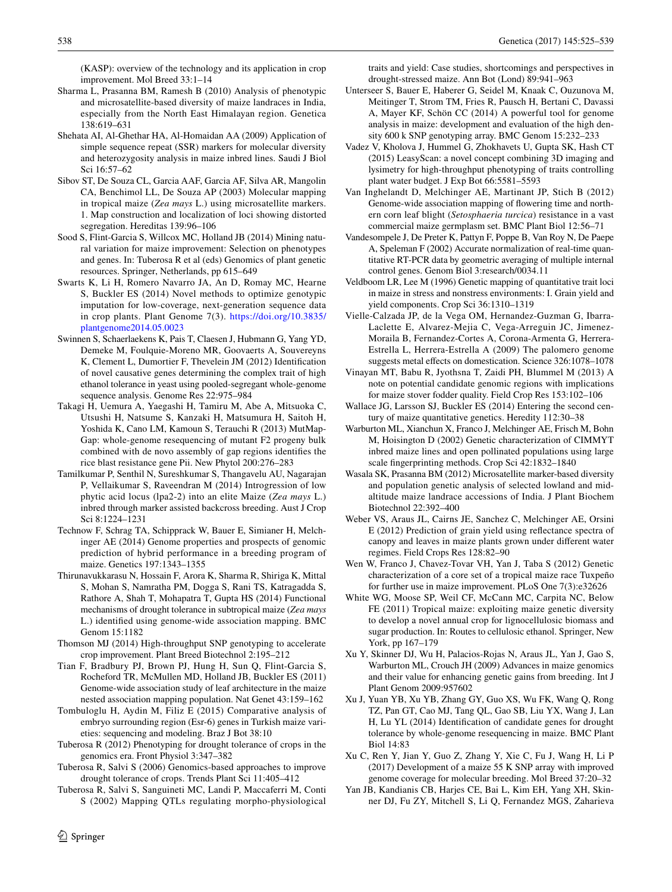(KASP): overview of the technology and its application in crop improvement. Mol Breed 33:1–14

- <span id="page-13-8"></span>Sharma L, Prasanna BM, Ramesh B (2010) Analysis of phenotypic and microsatellite-based diversity of maize landraces in India, especially from the North East Himalayan region. Genetica 138:619–631
- <span id="page-13-3"></span>Shehata AI, Al-Ghethar HA, Al-Homaidan AA (2009) Application of simple sequence repeat (SSR) markers for molecular diversity and heterozygosity analysis in maize inbred lines. Saudi J Biol Sci 16:57–62
- <span id="page-13-4"></span>Sibov ST, De Souza CL, Garcia AAF, Garcia AF, Silva AR, Mangolin CA, Benchimol LL, De Souza AP (2003) Molecular mapping in tropical maize (*Zea mays* L.) using microsatellite markers. 1. Map construction and localization of loci showing distorted segregation. Hereditas 139:96–106
- <span id="page-13-0"></span>Sood S, Flint-Garcia S, Willcox MC, Holland JB (2014) Mining natural variation for maize improvement: Selection on phenotypes and genes. In: Tuberosa R et al (eds) Genomics of plant genetic resources. Springer, Netherlands, pp 615–649
- <span id="page-13-29"></span>Swarts K, Li H, Romero Navarro JA, An D, Romay MC, Hearne S, Buckler ES (2014) Novel methods to optimize genotypic imputation for low-coverage, next-generation sequence data in crop plants. Plant Genome 7(3). [https://doi.org/10.3835/](https://doi.org/10.3835/plantgenome2014.05.0023) [plantgenome2014.05.0023](https://doi.org/10.3835/plantgenome2014.05.0023)
- <span id="page-13-16"></span>Swinnen S, Schaerlaekens K, Pais T, Claesen J, Hubmann G, Yang YD, Demeke M, Foulquie-Moreno MR, Goovaerts A, Souvereyns K, Clement L, Dumortier F, Thevelein JM (2012) Identification of novel causative genes determining the complex trait of high ethanol tolerance in yeast using pooled-segregant whole-genome sequence analysis. Genome Res 22:975–984
- <span id="page-13-17"></span>Takagi H, Uemura A, Yaegashi H, Tamiru M, Abe A, Mitsuoka C, Utsushi H, Natsume S, Kanzaki H, Matsumura H, Saitoh H, Yoshida K, Cano LM, Kamoun S, Terauchi R (2013) MutMap-Gap: whole-genome resequencing of mutant F2 progeny bulk combined with de novo assembly of gap regions identifies the rice blast resistance gene Pii. New Phytol 200:276–283
- <span id="page-13-5"></span>Tamilkumar P, Senthil N, Sureshkumar S, Thangavelu AU, Nagarajan P, Vellaikumar S, Raveendran M (2014) Introgression of low phytic acid locus (lpa2-2) into an elite Maize (*Zea mays* L.) inbred through marker assisted backcross breeding. Aust J Crop Sci 8:1224–1231
- <span id="page-13-18"></span>Technow F, Schrag TA, Schipprack W, Bauer E, Simianer H, Melchinger AE (2014) Genome properties and prospects of genomic prediction of hybrid performance in a breeding program of maize. Genetics 197:1343–1355
- <span id="page-13-15"></span>Thirunavukkarasu N, Hossain F, Arora K, Sharma R, Shiriga K, Mittal S, Mohan S, Namratha PM, Dogga S, Rani TS, Katragadda S, Rathore A, Shah T, Mohapatra T, Gupta HS (2014) Functional mechanisms of drought tolerance in subtropical maize (*Zea mays* L.) identified using genome-wide association mapping. BMC Genom 15:1182
- <span id="page-13-2"></span>Thomson MJ (2014) High-throughput SNP genotyping to accelerate crop improvement. Plant Breed Biotechnol 2:195–212
- <span id="page-13-27"></span>Tian F, Bradbury PJ, Brown PJ, Hung H, Sun Q, Flint-Garcia S, Rocheford TR, McMullen MD, Holland JB, Buckler ES (2011) Genome-wide association study of leaf architecture in the maize nested association mapping population. Nat Genet 43:159–162
- <span id="page-13-12"></span>Tombuloglu H, Aydin M, Filiz E (2015) Comparative analysis of embryo surrounding region (Esr-6) genes in Turkish maize varieties: sequencing and modeling. Braz J Bot 38:10
- <span id="page-13-21"></span>Tuberosa R (2012) Phenotyping for drought tolerance of crops in the genomics era. Front Physiol 3:347–382
- <span id="page-13-22"></span>Tuberosa R, Salvi S (2006) Genomics-based approaches to improve drought tolerance of crops. Trends Plant Sci 11:405–412
- <span id="page-13-20"></span>Tuberosa R, Salvi S, Sanguineti MC, Landi P, Maccaferri M, Conti S (2002) Mapping QTLs regulating morpho-physiological

traits and yield: Case studies, shortcomings and perspectives in drought-stressed maize. Ann Bot (Lond) 89:941–963

- <span id="page-13-10"></span>Unterseer S, Bauer E, Haberer G, Seidel M, Knaak C, Ouzunova M, Meitinger T, Strom TM, Fries R, Pausch H, Bertani C, Davassi A, Mayer KF, Schön CC (2014) A powerful tool for genome analysis in maize: development and evaluation of the high density 600 k SNP genotyping array. BMC Genom 15:232–233
- <span id="page-13-23"></span>Vadez V, Kholova J, Hummel G, Zhokhavets U, Gupta SK, Hash CT (2015) LeasyScan: a novel concept combining 3D imaging and lysimetry for high-throughput phenotyping of traits controlling plant water budget. J Exp Bot 66:5581–5593
- <span id="page-13-13"></span>Van Inghelandt D, Melchinger AE, Martinant JP, Stich B (2012) Genome-wide association mapping of flowering time and northern corn leaf blight (*Setosphaeria turcica*) resistance in a vast commercial maize germplasm set. BMC Plant Biol 12:56–71
- Vandesompele J, De Preter K, Pattyn F, Poppe B, Van Roy N, De Paepe A, Speleman F (2002) Accurate normalization of real-time quantitative RT-PCR data by geometric averaging of multiple internal control genes. Genom Biol 3:research/0034.11
- <span id="page-13-19"></span>Veldboom LR, Lee M (1996) Genetic mapping of quantitative trait loci in maize in stress and nonstress environments: I. Grain yield and yield components. Crop Sci 36:1310–1319
- <span id="page-13-6"></span>Vielle-Calzada JP, de la Vega OM, Hernandez-Guzman G, Ibarra-Laclette E, Alvarez-Mejia C, Vega-Arreguin JC, Jimenez-Moraila B, Fernandez-Cortes A, Corona-Armenta G, Herrera-Estrella L, Herrera-Estrella A (2009) The palomero genome suggests metal effects on domestication. Science 326:1078–1078
- <span id="page-13-14"></span>Vinayan MT, Babu R, Jyothsna T, Zaidi PH, Blummel M (2013) A note on potential candidate genomic regions with implications for maize stover fodder quality. Field Crop Res 153:102–106
- <span id="page-13-1"></span>Wallace JG, Larsson SJ, Buckler ES (2014) Entering the second century of maize quantitative genetics. Heredity 112:30–38
- <span id="page-13-9"></span>Warburton ML, Xianchun X, Franco J, Melchinger AE, Frisch M, Bohn M, Hoisington D (2002) Genetic characterization of CIMMYT inbred maize lines and open pollinated populations using large scale fingerprinting methods. Crop Sci 42:1832–1840
- Wasala SK, Prasanna BM (2012) Microsatellite marker-based diversity and population genetic analysis of selected lowland and midaltitude maize landrace accessions of India. J Plant Biochem Biotechnol 22:392–400
- <span id="page-13-24"></span>Weber VS, Araus JL, Cairns JE, Sanchez C, Melchinger AE, Orsini E (2012) Prediction of grain yield using reflectance spectra of canopy and leaves in maize plants grown under different water regimes. Field Crops Res 128:82–90
- <span id="page-13-7"></span>Wen W, Franco J, Chavez-Tovar VH, Yan J, Taba S (2012) Genetic characterization of a core set of a tropical maize race Tuxpeño for further use in maize improvement. PLoS One 7(3):e32626
- White WG, Moose SP, Weil CF, McCann MC, Carpita NC, Below FE (2011) Tropical maize: exploiting maize genetic diversity to develop a novel annual crop for lignocellulosic biomass and sugar production. In: Routes to cellulosic ethanol. Springer, New York, pp 167–179
- <span id="page-13-11"></span>Xu Y, Skinner DJ, Wu H, Palacios-Rojas N, Araus JL, Yan J, Gao S, Warburton ML, Crouch JH (2009) Advances in maize genomics and their value for enhancing genetic gains from breeding. Int J Plant Genom 2009:957602
- <span id="page-13-28"></span>Xu J, Yuan YB, Xu YB, Zhang GY, Guo XS, Wu FK, Wang Q, Rong TZ, Pan GT, Cao MJ, Tang QL, Gao SB, Liu YX, Wang J, Lan H, Lu YL (2014) Identification of candidate genes for drought tolerance by whole-genome resequencing in maize. BMC Plant Biol 14:83
- <span id="page-13-26"></span>Xu C, Ren Y, Jian Y, Guo Z, Zhang Y, Xie C, Fu J, Wang H, Li P (2017) Development of a maize 55 K SNP array with improved genome coverage for molecular breeding. Mol Breed 37:20–32
- <span id="page-13-25"></span>Yan JB, Kandianis CB, Harjes CE, Bai L, Kim EH, Yang XH, Skinner DJ, Fu ZY, Mitchell S, Li Q, Fernandez MGS, Zaharieva